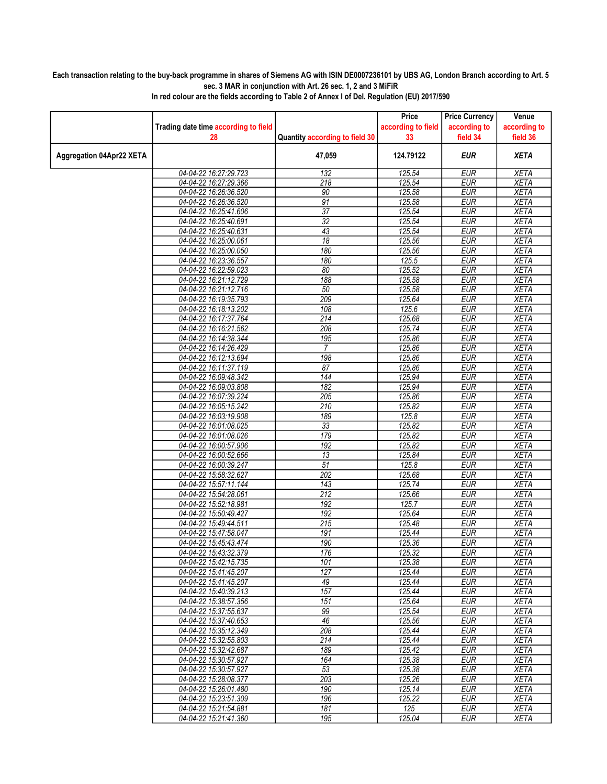## Each transaction relating to the buy-back programme in shares of Siemens AG with ISIN DE0007236101 by UBS AG, London Branch according to Art. 5 sec. 3 MAR in conjunction with Art. 26 sec. 1, 2 and 3 MiFiR

|                          |                                                |                                | Price              | <b>Price Currency</b>    | Venue                      |
|--------------------------|------------------------------------------------|--------------------------------|--------------------|--------------------------|----------------------------|
|                          | Trading date time according to field           |                                | according to field | according to             | according to               |
|                          | 28                                             | Quantity according to field 30 | 33                 | field 34                 | field 36                   |
| Aggregation 04Apr22 XETA |                                                | 47,059                         | 124.79122          | EUR                      | <b>XETA</b>                |
|                          | 04-04-22 16:27:29.723                          | 132                            | 125.54             | <b>EUR</b>               | <b>XETA</b>                |
|                          | 04-04-22 16:27:29.366                          | 218                            | 125.54             | <b>EUR</b>               | <b>XETA</b>                |
|                          | 04-04-22 16:26:36.520                          | 90                             | 125.58             | <b>EUR</b>               | <b>XETA</b>                |
|                          | 04-04-22 16:26:36.520                          | 91                             | 125.58             | <b>EUR</b>               | <b>XETA</b>                |
|                          | 04-04-22 16:25:41.606                          | 37                             | 125.54             | <b>EUR</b>               | <b>XETA</b>                |
|                          | 04-04-22 16:25:40.691                          | $\overline{32}$                | 125.54             | <b>EUR</b>               | <b>XETA</b>                |
|                          | 04-04-22 16:25:40.631                          | 43                             | 125.54             | <b>EUR</b>               | <b>XETA</b>                |
|                          | 04-04-22 16:25:00.061                          | 18                             | 125.56             | <b>EUR</b>               | <b>XETA</b>                |
|                          | 04-04-22 16:25:00.050                          | 180                            | 125.56             | <b>EUR</b>               | <b>XETA</b>                |
|                          | 04-04-22 16:23:36.557                          | 180                            | 125.5              | <b>EUR</b>               | <b>XETA</b>                |
|                          | 04-04-22 16:22:59.023                          | 80                             | 125.52             | <b>EUR</b>               | <b>XETA</b>                |
|                          | 04-04-22 16:21:12.729                          | 188                            | 125.58             | <b>EUR</b>               | <b>XETA</b>                |
|                          | 04-04-22 16:21:12.716                          | 50                             | 125.58             | <b>EUR</b>               | <b>XETA</b>                |
|                          | 04-04-22 16:19:35.793                          | 209                            | 125.64             | <b>EUR</b>               | <b>XETA</b>                |
|                          | 04-04-22 16:18:13.202                          | 108                            | 125.6              | <b>EUR</b>               | <b>XETA</b>                |
|                          | 04-04-22 16:17:37.764                          | 214                            | 125.68             | <b>EUR</b>               | <b>XETA</b>                |
|                          | 04-04-22 16:16:21.562                          | 208                            | 125.74             | <b>EUR</b>               | <b>XETA</b>                |
|                          | 04-04-22 16:14:38.344                          | 195                            | 125.86             | <b>EUR</b>               | <b>XETA</b>                |
|                          | 04-04-22 16:14:26.429                          | $\overline{7}$                 | 125.86             | <b>EUR</b>               | <b>XETA</b>                |
|                          | 04-04-22 16:12:13.694                          | 198                            | 125.86             | EUR                      | <b>XETA</b>                |
|                          | 04-04-22 16:11:37.119                          | 87                             | 125.86             | <b>EUR</b>               | <b>XETA</b>                |
|                          | 04-04-22 16:09:48.342                          | 144                            | 125.94             | <b>EUR</b>               | <b>XETA</b>                |
|                          | 04-04-22 16:09:03.808                          | 182                            | 125.94             | <b>EUR</b>               | <b>XETA</b>                |
|                          | 04-04-22 16:07:39.224                          | 205<br>210                     | 125.86<br>125.82   | <b>EUR</b><br><b>EUR</b> | <b>XETA</b><br><b>XETA</b> |
|                          | 04-04-22 16:05:15.242<br>04-04-22 16:03:19.908 | 189                            | 125.8              | <b>EUR</b>               | <b>XETA</b>                |
|                          | 04-04-22 16:01:08.025                          | $\overline{33}$                | 125.82             | <b>EUR</b>               | <b>XETA</b>                |
|                          | 04-04-22 16:01:08.026                          | 179                            | 125.82             | <b>EUR</b>               | <b>XETA</b>                |
|                          | 04-04-22 16:00:57.906                          | 192                            | 125.82             | <b>EUR</b>               | <b>XETA</b>                |
|                          | 04-04-22 16:00:52.666                          | 13                             | 125.84             | <b>EUR</b>               | <b>XETA</b>                |
|                          | 04-04-22 16:00:39.247                          | $\overline{51}$                | 125.8              | <b>EUR</b>               | <b>XETA</b>                |
|                          | 04-04-22 15:58:32.627                          | 202                            | 125.68             | <b>EUR</b>               | <b>XETA</b>                |
|                          | 04-04-22 15:57:11.144                          | $\overline{143}$               | 125.74             | <b>EUR</b>               | <b>XETA</b>                |
|                          | 04-04-22 15:54:28.061                          | 212                            | 125.66             | <b>EUR</b>               | <b>XETA</b>                |
|                          | 04-04-22 15:52:18.981                          | 192                            | 125.7              | <b>EUR</b>               | <b>XETA</b>                |
|                          | 04-04-22 15:50:49.427                          | 192                            | 125.64             | <b>EUR</b>               | <b>XETA</b>                |
|                          | 04-04-22 15:49:44.511                          | 215                            | 125.48             | <b>EUR</b>               | <b>XETA</b>                |
|                          | 04-04-22 15:47:58.047                          | 191                            | 125.44             | <b>EUR</b>               | <b>XETA</b>                |
|                          | 04-04-22 15:45:43.474                          | 190                            | 125.36             | <b>EUR</b>               | <b>XETA</b>                |
|                          | 04-04-22 15:43:32.379                          | 176                            | 125.32             | <b>EUR</b>               | <b>XETA</b>                |
|                          | 04-04-22 15:42:15.735                          | 101                            | 125.38             | EUR                      | XETA                       |
|                          | 04-04-22 15:41:45.207                          | 127                            | 125.44             | <b>EUR</b>               | <b>XETA</b>                |
|                          | 04-04-22 15:41:45.207                          | 49                             | 125.44             | <b>EUR</b>               | <b>XETA</b>                |
|                          | 04-04-22 15:40:39.213                          | 157                            | 125.44             | <b>EUR</b>               | <b>XETA</b>                |
|                          | 04-04-22 15:38:57.356                          | 151                            | 125.64             | <b>EUR</b>               | <b>XETA</b>                |
|                          | 04-04-22 15:37:55.637                          | 99                             | 125.54             | <b>EUR</b>               | <b>XETA</b>                |
|                          | 04-04-22 15:37:40.653                          | 46                             | 125.56             | <b>EUR</b>               | <b>XETA</b>                |
|                          | 04-04-22 15:35:12.349                          | 208                            | 125.44             | <b>EUR</b>               | <b>XETA</b>                |
|                          | 04-04-22 15:32:55.803                          | 214                            | 125.44             | <b>EUR</b>               | <b>XETA</b>                |
|                          | 04-04-22 15:32:42.687                          | 189                            | 125.42             | <b>EUR</b>               | <b>XETA</b>                |
|                          | 04-04-22 15:30:57.927                          | 164                            | 125.38             | <b>EUR</b>               | <b>XETA</b>                |
|                          | 04-04-22 15:30:57.927                          | 53                             | 125.38             | <b>EUR</b>               | <b>XETA</b>                |
|                          | 04-04-22 15:28:08.377                          | 203                            | 125.26             | <b>EUR</b>               | <b>XETA</b>                |
|                          | 04-04-22 15:26:01.480                          | 190                            | 125.14             | <b>EUR</b>               | <b>XETA</b>                |
|                          | 04-04-22 15:23:51.309                          | 196                            | 125.22             | <b>EUR</b>               | <b>XETA</b>                |
|                          | 04-04-22 15:21:54.881                          | 181                            | 125                | <b>EUR</b>               | <b>XETA</b>                |
|                          | 04-04-22 15:21:41.360                          | 195                            | 125.04             | EUR                      | <b>XETA</b>                |

In red colour are the fields according to Table 2 of Annex I of Del. Regulation (EU) 2017/590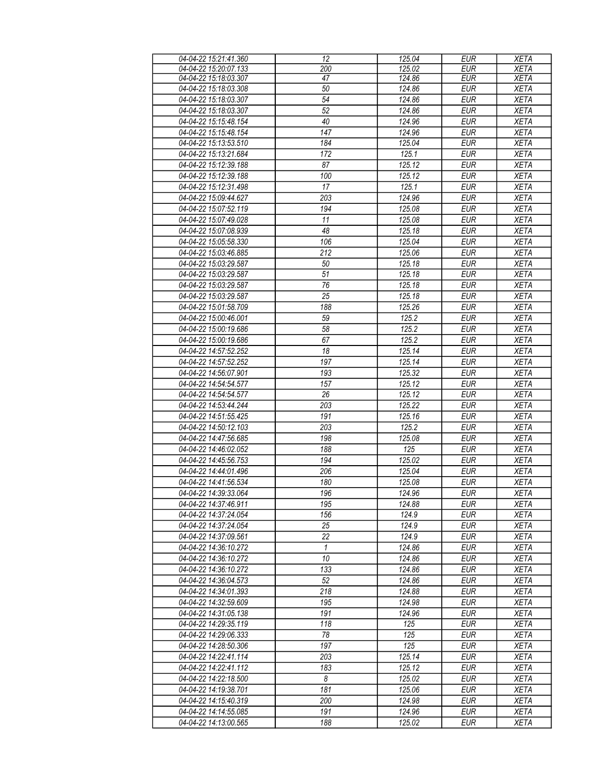| 04-04-22 15:21:41.360 | 12              | 125.04               | <b>EUR</b> | <b>XETA</b> |
|-----------------------|-----------------|----------------------|------------|-------------|
| 04-04-22 15:20:07.133 | 200             | 125.02               | <b>EUR</b> | <b>XETA</b> |
| 04-04-22 15:18:03.307 | 47              | 124.86               | <b>EUR</b> | <b>XETA</b> |
| 04-04-22 15:18:03.308 | 50              | 124.86               | <b>EUR</b> | <b>XETA</b> |
| 04-04-22 15:18:03.307 | $\overline{54}$ | 124.86               | <b>EUR</b> | <b>XETA</b> |
| 04-04-22 15:18:03.307 | 52              | 124.86               | <b>EUR</b> | <b>XETA</b> |
| 04-04-22 15:15:48.154 | 40              | 124.96               | <b>EUR</b> | <b>XETA</b> |
|                       | 147             |                      | <b>EUR</b> |             |
| 04-04-22 15:15:48.154 |                 | 124.96               |            | <b>XETA</b> |
| 04-04-22 15:13:53.510 | 184             | 125.04               | <b>EUR</b> | <b>XETA</b> |
| 04-04-22 15:13:21.684 | 172             | 125.1                | <b>EUR</b> | <b>XETA</b> |
| 04-04-22 15:12:39.188 | 87              | 125.12               | <b>EUR</b> | <b>XETA</b> |
| 04-04-22 15:12:39.188 | 100             | 125.12               | <b>EUR</b> | <b>XETA</b> |
| 04-04-22 15:12:31.498 | 17              | 125.1                | <b>EUR</b> | <b>XETA</b> |
| 04-04-22 15:09:44.627 | 203             | 124.96               | <b>EUR</b> | <b>XETA</b> |
| 04-04-22 15:07:52.119 | 194             | 125.08               | <b>EUR</b> | <b>XETA</b> |
| 04-04-22 15:07:49.028 | 11              | 125.08               | <b>EUR</b> | <b>XETA</b> |
| 04-04-22 15:07:08.939 | 48              | 125.18               | <b>EUR</b> | <b>XETA</b> |
| 04-04-22 15:05:58.330 | 106             | 125.04               | <b>EUR</b> | <b>XETA</b> |
| 04-04-22 15:03:46.885 | 212             | 125.06               | <b>EUR</b> | <b>XETA</b> |
| 04-04-22 15:03:29.587 | 50              | 125.18               | <b>EUR</b> | <b>XETA</b> |
| 04-04-22 15:03:29.587 | 51              | $\overline{1}$ 25.18 | <b>EUR</b> | <b>XETA</b> |
| 04-04-22 15:03:29.587 | 76              | 125.18               | <b>EUR</b> | <b>XETA</b> |
| 04-04-22 15:03:29.587 | 25              | 125.18               | <b>EUR</b> | <b>XETA</b> |
| 04-04-22 15:01:58.709 | 188             | 125.26               | <b>EUR</b> | <b>XETA</b> |
| 04-04-22 15:00:46.001 | 59              | 125.2                | <b>EUR</b> | <b>XETA</b> |
| 04-04-22 15:00:19.686 |                 |                      |            | <b>XETA</b> |
|                       | 58              | 125.2                | <b>EUR</b> |             |
| 04-04-22 15:00:19.686 | 67              | 125.2                | <b>EUR</b> | <b>XETA</b> |
| 04-04-22 14:57:52.252 | 18              | 125.14               | <b>EUR</b> | <b>XETA</b> |
| 04-04-22 14:57:52.252 | 197             | 125.14               | <b>EUR</b> | <b>XETA</b> |
| 04-04-22 14:56:07.901 | 193             | 125.32               | <b>EUR</b> | <b>XETA</b> |
| 04-04-22 14:54:54.577 | 157             | 125.12               | <b>EUR</b> | <b>XETA</b> |
| 04-04-22 14:54:54.577 | 26              | 125.12               | <b>EUR</b> | <b>XETA</b> |
| 04-04-22 14:53:44.244 | 203             | 125.22               | <b>EUR</b> | <b>XETA</b> |
| 04-04-22 14:51:55.425 | 191             | 125.16               | <b>EUR</b> | <b>XETA</b> |
| 04-04-22 14:50:12.103 | 203             | 125.2                | <b>EUR</b> | <b>XETA</b> |
| 04-04-22 14:47:56.685 | 198             | 125.08               | <b>EUR</b> | <b>XETA</b> |
| 04-04-22 14:46:02.052 | 188             | 125                  | <b>EUR</b> | <b>XETA</b> |
| 04-04-22 14:45:56.753 | 194             | 125.02               | <b>EUR</b> | <b>XETA</b> |
| 04-04-22 14:44:01.496 | 206             | 125.04               | <b>EUR</b> | <b>XETA</b> |
| 04-04-22 14:41:56.534 | 180             | 125.08               | <b>EUR</b> | <b>XETA</b> |
| 04-04-22 14:39:33.064 | 196             | 124.96               | EUR        | <b>XETA</b> |
| 04-04-22 14:37:46.911 | 195             | 124.88               | <b>EUR</b> | <b>XETA</b> |
| 04-04-22 14:37:24.054 | 156             | 124.9                | EUR        | <b>XETA</b> |
| 04-04-22 14:37:24.054 | 25              | 124.9                | <b>EUR</b> | <b>XETA</b> |
| 04-04-22 14:37:09.561 | 22              | 124.9                | <b>EUR</b> | <b>XETA</b> |
| 04-04-22 14:36:10.272 | 1               | 124.86               | <b>EUR</b> | <b>XETA</b> |
| 04-04-22 14:36:10.272 | 10              | 124.86               | <b>EUR</b> | <b>XETA</b> |
| 04-04-22 14:36:10.272 | 133             | 124.86               | <b>EUR</b> | <b>XETA</b> |
| 04-04-22 14:36:04.573 | 52              | 124.86               | <b>EUR</b> | <b>XETA</b> |
| 04-04-22 14:34:01.393 | 218             | 124.88               | <b>EUR</b> | <b>XETA</b> |
| 04-04-22 14:32:59.609 | 195             | 124.98               | <b>EUR</b> | <b>XETA</b> |
| 04-04-22 14:31:05.138 | 191             | 124.96               | <b>EUR</b> | <b>XETA</b> |
|                       |                 |                      | <b>EUR</b> |             |
| 04-04-22 14:29:35.119 | 118<br>78       | 125<br>125           |            | <b>XETA</b> |
| 04-04-22 14:29:06.333 |                 |                      | <b>EUR</b> | <b>XETA</b> |
| 04-04-22 14:28:50.306 | 197             | 125                  | <b>EUR</b> | <b>XETA</b> |
| 04-04-22 14:22:41.114 | 203             | 125.14               | <b>EUR</b> | <b>XETA</b> |
| 04-04-22 14:22:41.112 | 183             | 125.12               | <b>EUR</b> | <b>XETA</b> |
| 04-04-22 14:22:18.500 | 8               | 125.02               | <b>EUR</b> | <b>XETA</b> |
| 04-04-22 14:19:38.701 | 181             | 125.06               | <b>EUR</b> | <b>XETA</b> |
| 04-04-22 14:15:40.319 | 200             | 124.98               | <b>EUR</b> | <b>XETA</b> |
| 04-04-22 14:14:55.085 | 191             | 124.96               | <b>EUR</b> | <b>XETA</b> |
| 04-04-22 14:13:00.565 | 188             | 125.02               | <b>EUR</b> | <b>XETA</b> |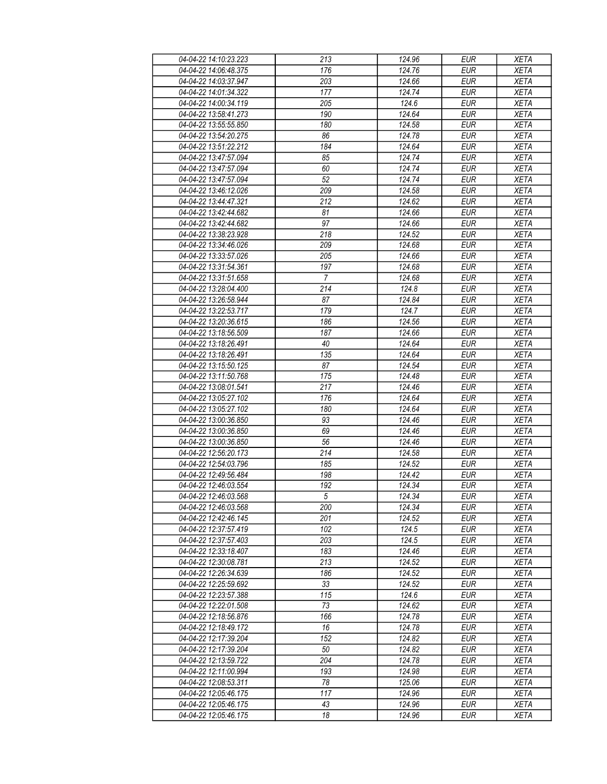| 04-04-22 14:10:23.223 | 213                   | 124.96 | <b>EUR</b>       | <b>XETA</b> |
|-----------------------|-----------------------|--------|------------------|-------------|
| 04-04-22 14:06:48.375 | 176                   | 124.76 | <b>EUR</b>       | <b>XETA</b> |
| 04-04-22 14:03:37.947 | 203                   | 124.66 | <b>EUR</b>       | <b>XETA</b> |
| 04-04-22 14:01:34.322 | 177                   | 124.74 | <b>EUR</b>       | <b>XETA</b> |
| 04-04-22 14:00:34.119 | 205                   | 124.6  | <b>EUR</b>       | <b>XETA</b> |
| 04-04-22 13:58:41.273 | 190                   | 124.64 | <b>EUR</b>       | <b>XETA</b> |
| 04-04-22 13:55:55.850 | 180                   | 124.58 | <b>EUR</b>       | <b>XETA</b> |
| 04-04-22 13:54:20.275 | 86                    | 124.78 | <b>EUR</b>       | <b>XETA</b> |
| 04-04-22 13:51:22.212 | 184                   | 124.64 | <b>EUR</b>       | <b>XETA</b> |
| 04-04-22 13:47:57.094 | 85                    | 124.74 | <b>EUR</b>       | <b>XETA</b> |
| 04-04-22 13:47:57.094 | 60                    | 124.74 | <b>EUR</b>       | <b>XETA</b> |
| 04-04-22 13:47:57.094 | 52                    | 124.74 | <b>EUR</b>       | <b>XETA</b> |
| 04-04-22 13:46:12.026 | 209                   | 124.58 | <b>EUR</b>       | <b>XETA</b> |
| 04-04-22 13:44:47.321 | 212                   | 124.62 | <b>EUR</b>       | <b>XETA</b> |
| 04-04-22 13:42:44.682 | 81                    | 124.66 | <b>EUR</b>       | <b>XETA</b> |
| 04-04-22 13:42:44.682 | 97                    | 124.66 | <b>EUR</b>       | <b>XETA</b> |
| 04-04-22 13:38:23.928 | $\overline{218}$      | 124.52 | <b>EUR</b>       | <b>XETA</b> |
| 04-04-22 13:34:46.026 | 209                   | 124.68 | <b>EUR</b>       | <b>XETA</b> |
| 04-04-22 13:33:57.026 | 205                   | 124.66 | <b>EUR</b>       | <b>XETA</b> |
| 04-04-22 13:31:54.361 |                       |        |                  |             |
|                       | 197<br>$\overline{7}$ | 124.68 | <b>EUR</b>       | <b>XETA</b> |
| 04-04-22 13:31:51.658 |                       | 124.68 | <b>EUR</b>       | <b>XETA</b> |
| 04-04-22 13:28:04.400 | 214                   | 124.8  | <b>EUR</b>       | <b>XETA</b> |
| 04-04-22 13:26:58.944 | 87                    | 124.84 | <b>EUR</b>       | <b>XETA</b> |
| 04-04-22 13:22:53.717 | 179                   | 124.7  | <b>EUR</b>       | <b>XETA</b> |
| 04-04-22 13:20:36.615 | 186                   | 124.56 | <b>EUR</b>       | <b>XETA</b> |
| 04-04-22 13:18:56.509 | 187                   | 124.66 | <b>EUR</b>       | <b>XETA</b> |
| 04-04-22 13:18:26.491 | 40                    | 124.64 | <b>EUR</b>       | <b>XETA</b> |
| 04-04-22 13:18:26.491 | 135                   | 124.64 | <b>EUR</b>       | <b>XETA</b> |
| 04-04-22 13:15:50.125 | 87                    | 124.54 | <b>EUR</b>       | <b>XETA</b> |
| 04-04-22 13:11:50.768 | 175                   | 124.48 | <b>EUR</b>       | <b>XETA</b> |
| 04-04-22 13:08:01.541 | 217                   | 124.46 | <b>EUR</b>       | <b>XETA</b> |
| 04-04-22 13:05:27.102 | 176                   | 124.64 | <b>EUR</b>       | <b>XETA</b> |
| 04-04-22 13:05:27.102 | 180                   | 124.64 | <b>EUR</b>       | <b>XETA</b> |
| 04-04-22 13:00:36.850 | 93                    | 124.46 | <b>EUR</b>       | <b>XETA</b> |
| 04-04-22 13:00:36.850 | 69                    | 124.46 | $E\overline{UR}$ | <b>XETA</b> |
| 04-04-22 13:00:36.850 | 56                    | 124.46 | <b>EUR</b>       | <b>XETA</b> |
| 04-04-22 12:56:20.173 | 214                   | 124.58 | <b>EUR</b>       | <b>XETA</b> |
| 04-04-22 12:54:03.796 | 185                   | 124.52 | <b>EUR</b>       | <b>XETA</b> |
| 04-04-22 12:49:56.484 | 198                   | 124.42 | <b>EUR</b>       | <b>XETA</b> |
| 04-04-22 12:46:03.554 | $\overline{192}$      | 124.34 | <b>EUR</b>       | <b>XETA</b> |
| 04-04-22 12:46:03.568 | $\sqrt{5}$            | 124.34 | <b>EUR</b>       | <b>XETA</b> |
| 04-04-22 12:46:03.568 | 200                   | 124.34 | <b>EUR</b>       | <b>XETA</b> |
| 04-04-22 12:42:46.145 | 201                   | 124.52 | <b>EUR</b>       | <b>XETA</b> |
| 04-04-22 12:37:57.419 | 102                   | 124.5  | <b>EUR</b>       | <b>XETA</b> |
| 04-04-22 12:37:57.403 | 203                   | 124.5  | <b>EUR</b>       | <b>XETA</b> |
| 04-04-22 12:33:18.407 | 183                   | 124.46 | <b>EUR</b>       | <b>XETA</b> |
| 04-04-22 12:30:08.781 | 213                   | 124.52 | <b>EUR</b>       | <b>XETA</b> |
| 04-04-22 12:26:34.639 | 186                   | 124.52 | <b>EUR</b>       | <b>XETA</b> |
| 04-04-22 12:25:59.692 | 33                    | 124.52 | <b>EUR</b>       | <b>XETA</b> |
| 04-04-22 12:23:57.388 | 115                   | 124.6  | <b>EUR</b>       | <b>XETA</b> |
| 04-04-22 12:22:01.508 | 73                    | 124.62 | <b>EUR</b>       | <b>XETA</b> |
| 04-04-22 12:18:56.876 | 166                   | 124.78 | <b>EUR</b>       | <b>XETA</b> |
| 04-04-22 12:18:49.172 | 16                    | 124.78 | <b>EUR</b>       | <b>XETA</b> |
| 04-04-22 12:17:39.204 | 152                   | 124.82 | <b>EUR</b>       | <b>XETA</b> |
| 04-04-22 12:17:39.204 | 50                    | 124.82 | <b>EUR</b>       | <b>XETA</b> |
| 04-04-22 12:13:59.722 | 204                   | 124.78 | <b>EUR</b>       | <b>XETA</b> |
| 04-04-22 12:11:00.994 | 193                   | 124.98 | <b>EUR</b>       | <b>XETA</b> |
| 04-04-22 12:08:53.311 | 78                    | 125.06 | <b>EUR</b>       | <b>XETA</b> |
| 04-04-22 12:05:46.175 | 117                   | 124.96 | <b>EUR</b>       | <b>XETA</b> |
| 04-04-22 12:05:46.175 | 43                    | 124.96 | <b>EUR</b>       | <b>XETA</b> |
| 04-04-22 12:05:46.175 | 18                    | 124.96 | <b>EUR</b>       | <b>XETA</b> |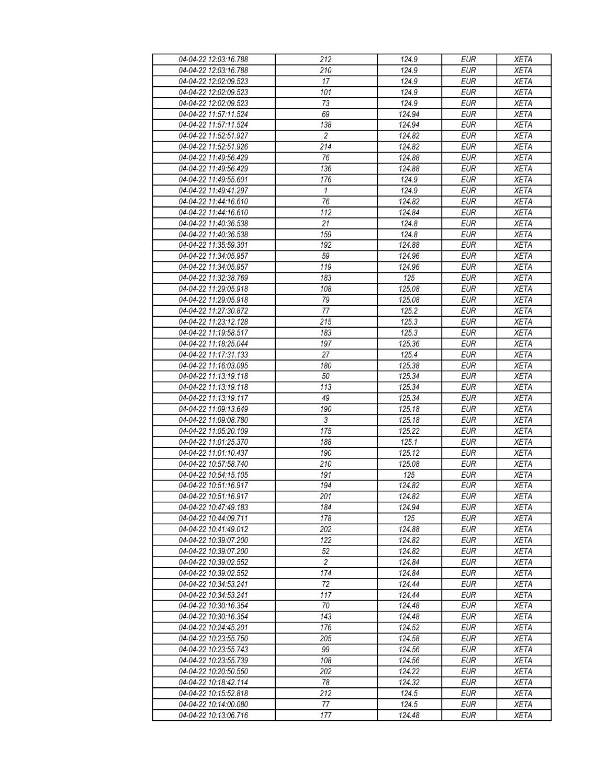| 04-04-22 12:03:16.788 | 212              | 124.9  | <b>EUR</b> | <b>XETA</b> |
|-----------------------|------------------|--------|------------|-------------|
| 04-04-22 12:03:16.788 | 210              | 124.9  | <b>EUR</b> | <b>XETA</b> |
| 04-04-22 12:02:09.523 | 17               | 124.9  | <b>EUR</b> | <b>XETA</b> |
| 04-04-22 12:02:09.523 | 101              | 124.9  | <b>EUR</b> | <b>XETA</b> |
| 04-04-22 12:02:09.523 | 73               | 124.9  | <b>EUR</b> | <b>XETA</b> |
| 04-04-22 11:57:11.524 | 69               | 124.94 | <b>EUR</b> | <b>XETA</b> |
| 04-04-22 11:57:11.524 | 138              | 124.94 | <b>EUR</b> | <b>XETA</b> |
| 04-04-22 11:52:51.927 | $\overline{c}$   | 124.82 | <b>EUR</b> | <b>XETA</b> |
| 04-04-22 11:52:51.926 | 214              | 124.82 | <b>EUR</b> | <b>XETA</b> |
| 04-04-22 11:49:56.429 | 76               | 124.88 | <b>EUR</b> | <b>XETA</b> |
| 04-04-22 11:49:56.429 | 136              | 124.88 | <b>EUR</b> | <b>XETA</b> |
| 04-04-22 11:49:55.601 | 176              | 124.9  | <b>EUR</b> | <b>XETA</b> |
| 04-04-22 11:49:41.297 | $\mathbf{1}$     | 124.9  | <b>EUR</b> | <b>XETA</b> |
| 04-04-22 11:44:16.610 | 76               | 124.82 | <b>EUR</b> | <b>XETA</b> |
| 04-04-22 11:44:16.610 | 112              | 124.84 | <b>EUR</b> | <b>XETA</b> |
| 04-04-22 11:40:36.538 | 21               | 124.8  | <b>EUR</b> | <b>XETA</b> |
| 04-04-22 11:40:36.538 | 159              | 124.8  | <b>EUR</b> | <b>XETA</b> |
|                       |                  |        | <b>EUR</b> |             |
| 04-04-22 11:35:59.301 | 192              | 124.88 |            | <b>XETA</b> |
| 04-04-22 11:34:05.957 | 59               | 124.96 | <b>EUR</b> | <b>XETA</b> |
| 04-04-22 11:34:05.957 | 119              | 124.96 | <b>EUR</b> | <b>XETA</b> |
| 04-04-22 11:32:38.769 | 183              | 125    | <b>EUR</b> | <b>XETA</b> |
| 04-04-22 11:29:05.918 | 108              | 125.08 | <b>EUR</b> | <b>XETA</b> |
| 04-04-22 11:29:05.918 | 79               | 125.08 | <b>EUR</b> | <b>XETA</b> |
| 04-04-22 11:27:30.872 | 77               | 125.2  | <b>EUR</b> | <b>XETA</b> |
| 04-04-22 11:23:12.128 | 215              | 125.3  | <b>EUR</b> | <b>XETA</b> |
| 04-04-22 11:19:58.517 | 183              | 125.3  | <b>EUR</b> | <b>XETA</b> |
| 04-04-22 11:18:25.044 | 197              | 125.36 | <b>EUR</b> | <b>XETA</b> |
| 04-04-22 11:17:31.133 | 27               | 125.4  | <b>EUR</b> | <b>XETA</b> |
| 04-04-22 11:16:03.095 | 180              | 125.38 | <b>EUR</b> | <b>XETA</b> |
| 04-04-22 11:13:19.118 | 50               | 125.34 | <b>EUR</b> | <b>XETA</b> |
| 04-04-22 11:13:19.118 | 113              | 125.34 | <b>EUR</b> | <b>XETA</b> |
| 04-04-22 11:13:19.117 | 49               | 125.34 | <b>EUR</b> | <b>XETA</b> |
| 04-04-22 11:09:13.649 | 190              | 125.18 | <b>EUR</b> | <b>XETA</b> |
| 04-04-22 11:09:08.780 | $\sqrt{3}$       | 125.18 | <b>EUR</b> | <b>XETA</b> |
| 04-04-22 11:05:20.109 | 175              | 125.22 | <b>EUR</b> | <b>XETA</b> |
| 04-04-22 11:01:25.370 | 188              | 125.1  | <b>EUR</b> | <b>XETA</b> |
| 04-04-22 11:01:10.437 | 190              | 125.12 | <b>EUR</b> | <b>XETA</b> |
| 04-04-22 10:57:58.740 | 210              | 125.08 | <b>EUR</b> | <b>XETA</b> |
| 04-04-22 10:54:15.105 | 191              | 125    | <b>EUR</b> | <b>XETA</b> |
| 04-04-22 10:51:16.917 | 194              | 124.82 | <b>EUR</b> | <b>XETA</b> |
| 04-04-22 10:51:16.917 | $\overline{201}$ | 124.82 | EUR        | <b>XETA</b> |
| 04-04-22 10:47:49 183 | 184              | 124.94 | <b>EUR</b> | <b>XETA</b> |
| 04-04-22 10:44:09.711 | 178              | 125    | <b>EUR</b> | <b>XETA</b> |
| 04-04-22 10:41:49.012 | 202              | 124.88 | <b>EUR</b> | <b>XETA</b> |
| 04-04-22 10:39:07.200 | 122              | 124.82 | <b>EUR</b> | <b>XETA</b> |
| 04-04-22 10:39:07.200 | 52               | 124.82 | <b>EUR</b> | <b>XETA</b> |
| 04-04-22 10:39:02.552 | $\overline{2}$   | 124.84 | <b>EUR</b> | <b>XETA</b> |
| 04-04-22 10:39:02.552 | 174              | 124.84 | <b>EUR</b> | <b>XETA</b> |
| 04-04-22 10:34:53.241 | 72               | 124.44 | <b>EUR</b> | <b>XETA</b> |
| 04-04-22 10:34:53.241 | 117              | 124.44 | <b>EUR</b> | <b>XETA</b> |
| 04-04-22 10:30:16.354 | 70               | 124.48 | <b>EUR</b> | <b>XETA</b> |
| 04-04-22 10:30:16.354 | 143              | 124.48 | <b>EUR</b> | <b>XETA</b> |
| 04-04-22 10:24:45.201 | 176              | 124.52 | <b>EUR</b> | <b>XETA</b> |
| 04-04-22 10:23:55.750 | 205              | 124.58 | <b>EUR</b> | <b>XETA</b> |
| 04-04-22 10:23:55.743 | 99               | 124.56 | <b>EUR</b> | <b>XETA</b> |
| 04-04-22 10:23:55.739 | 108              | 124.56 | <b>EUR</b> | XETA        |
| 04-04-22 10:20:50.550 | 202              | 124.22 | <b>EUR</b> | <b>XETA</b> |
| 04-04-22 10:18:42 114 | 78               | 124.32 | <b>EUR</b> | <b>XETA</b> |
| 04-04-22 10:15:52.818 | 212              | 124.5  | <b>EUR</b> | <b>XETA</b> |
| 04-04-22 10:14:00.080 | 77               | 124.5  | <b>EUR</b> | <b>XETA</b> |
| 04-04-22 10:13:06.716 | 177              | 124.48 | <b>EUR</b> | <b>XETA</b> |
|                       |                  |        |            |             |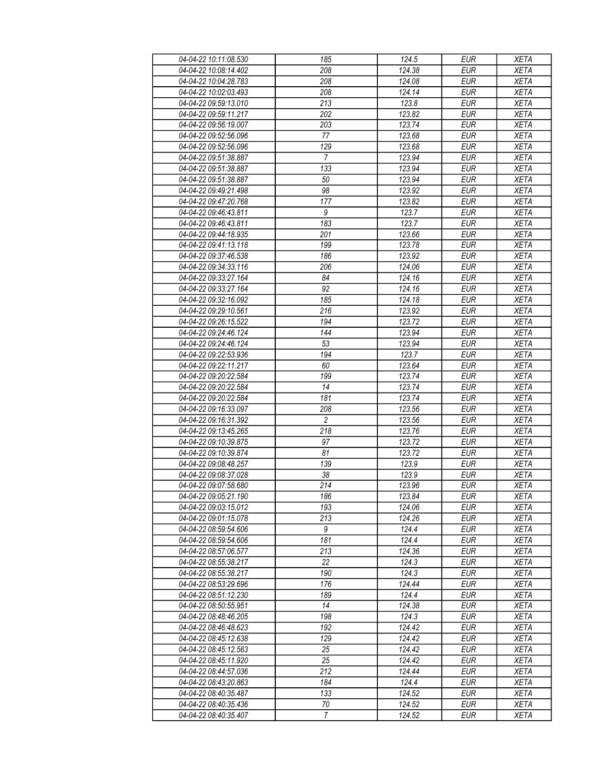| 04-04-22 10:11:08.530 | 185              | 124.5  | <b>EUR</b>               | <b>XETA</b> |
|-----------------------|------------------|--------|--------------------------|-------------|
| 04-04-22 10:08:14.402 | 208              | 124.38 | <b>EUR</b>               | <b>XETA</b> |
| 04-04-22 10:04:28.783 | 208              | 124.08 | <b>EUR</b>               | <b>XETA</b> |
| 04-04-22 10:02:03.493 | 208              | 124.14 | <b>EUR</b>               | <b>XETA</b> |
| 04-04-22 09:59:13.010 | 213              | 123.8  | <b>EUR</b>               | <b>XETA</b> |
| 04-04-22 09:59:11.217 | 202              | 123.82 | <b>EUR</b>               | <b>XETA</b> |
| 04-04-22 09:56:19.007 | 203              | 123.74 | <b>EUR</b>               | <b>XETA</b> |
| 04-04-22 09:52:56.096 | 77               | 123.68 | <b>EUR</b>               | <b>XETA</b> |
| 04-04-22 09:52:56.096 | 129              | 123.68 | <b>EUR</b>               | <b>XETA</b> |
| 04-04-22 09:51:38.887 | $\overline{7}$   | 123.94 | <b>EUR</b>               | <b>XETA</b> |
| 04-04-22 09:51:38.887 | 133              | 123.94 | <b>EUR</b>               | <b>XETA</b> |
| 04-04-22 09:51:38.887 | 50               | 123.94 | <b>EUR</b>               | <b>XETA</b> |
| 04-04-22 09:49:21.498 | 98               | 123.92 | <b>EUR</b>               | <b>XETA</b> |
| 04-04-22 09:47:20.768 | 177              | 123.82 | <b>EUR</b>               | <b>XETA</b> |
| 04-04-22 09:46:43.811 | 9                | 123.7  | <b>EUR</b>               | <b>XETA</b> |
|                       |                  |        |                          |             |
| 04-04-22 09:46:43.811 | 183              | 123.7  | <b>EUR</b><br><b>EUR</b> | <b>XETA</b> |
| 04-04-22 09:44:18.935 | 201              | 123.66 |                          | <b>XETA</b> |
| 04-04-22 09:41:13.118 | 199              | 123.78 | <b>EUR</b>               | <b>XETA</b> |
| 04-04-22 09:37:46.538 | 186              | 123.92 | <b>EUR</b>               | <b>XETA</b> |
| 04-04-22 09:34:33.116 | 206              | 124.06 | <b>EUR</b>               | <b>XETA</b> |
| 04-04-22 09:33:27.164 | 84               | 124.16 | <b>EUR</b>               | <b>XETA</b> |
| 04-04-22 09:33:27.164 | 92               | 124.16 | <b>EUR</b>               | <b>XETA</b> |
| 04-04-22 09:32:16.092 | 185              | 124.18 | <b>EUR</b>               | <b>XETA</b> |
| 04-04-22 09:29:10.561 | 216              | 123.92 | <b>EUR</b>               | <b>XETA</b> |
| 04-04-22 09:26:15.522 | 194              | 123.72 | <b>EUR</b>               | <b>XETA</b> |
| 04-04-22 09:24:46.124 | 144              | 123.94 | <b>EUR</b>               | <b>XETA</b> |
| 04-04-22 09:24:46.124 | 53               | 123.94 | <b>EUR</b>               | <b>XETA</b> |
| 04-04-22 09:22:53.936 | 194              | 123.7  | <b>EUR</b>               | <b>XETA</b> |
| 04-04-22 09:22:11.217 | 60               | 123.64 | <b>EUR</b>               | <b>XETA</b> |
| 04-04-22 09:20:22.584 | 199              | 123.74 | <b>EUR</b>               | <b>XETA</b> |
| 04-04-22 09:20:22.584 | 14               | 123.74 | <b>EUR</b>               | <b>XETA</b> |
| 04-04-22 09:20:22.584 | 181              | 123.74 | <b>EUR</b>               | <b>XETA</b> |
| 04-04-22 09:16:33.097 | 208              | 123.56 | <b>EUR</b>               | <b>XETA</b> |
| 04-04-22 09:16:31.392 | $\overline{2}$   | 123.56 | <b>EUR</b>               | <b>XETA</b> |
| 04-04-22 09:13:45.265 | 218              | 123.76 | <b>EUR</b>               | <b>XETA</b> |
| 04-04-22 09:10:39.875 | 97               | 123.72 | <b>EUR</b>               | <b>XETA</b> |
| 04-04-22 09:10:39.874 | 81               | 123.72 | <b>EUR</b>               | <b>XETA</b> |
| 04-04-22 09:08:48.257 | 139              | 123.9  | <b>EUR</b>               | <b>XETA</b> |
| 04-04-22 09:08:37.028 | 38               | 123.9  | <b>EUR</b>               | <b>XETA</b> |
| 04-04-22 09:07:58.680 | $\overline{214}$ | 123.96 | <b>EUR</b>               | <b>XETA</b> |
| 04-04-22 09:05:21.190 | 186              | 123.84 | <b>EUR</b>               | <b>XETA</b> |
| 04-04-22 09:03:15.012 | 193              | 124.06 | <b>EUR</b>               | <b>XETA</b> |
| 04-04-22 09:01:15.078 | 213              | 124.26 | <b>EUR</b>               | <b>XETA</b> |
| 04-04-22 08:59:54.606 | 9                | 124.4  | <b>EUR</b>               | <b>XETA</b> |
| 04-04-22 08:59:54.606 | 181              | 124.4  | <b>EUR</b>               | <b>XETA</b> |
| 04-04-22 08:57:06.577 | 213              | 124.36 | <b>EUR</b>               | <b>XETA</b> |
| 04-04-22 08:55:38.217 | 22               | 124.3  | <b>EUR</b>               | <b>XETA</b> |
| 04-04-22 08:55:38.217 | 190              | 124.3  | <b>EUR</b>               | <b>XETA</b> |
| 04-04-22 08:53:29.696 | 176              | 124.44 | <b>EUR</b>               | <b>XETA</b> |
| 04-04-22 08:51:12.230 | 189              | 124.4  | <b>EUR</b>               | <b>XETA</b> |
| 04-04-22 08:50:55.951 | 14               | 124.38 | <b>EUR</b>               | <b>XETA</b> |
| 04-04-22 08:48:46.205 | 198              | 124.3  | <b>EUR</b>               | <b>XETA</b> |
| 04-04-22 08:46:48.623 | 192              | 124.42 | <b>EUR</b>               | <b>XETA</b> |
| 04-04-22 08:45:12.638 | 129              | 124.42 | <b>EUR</b>               | <b>XETA</b> |
| 04-04-22 08:45:12.563 | 25               | 124.42 | <b>EUR</b>               | <b>XETA</b> |
| 04-04-22 08:45:11.920 | 25               | 124.42 | <b>EUR</b>               | <b>XETA</b> |
| 04-04-22 08:44:57.036 | 212              | 124.44 | <b>EUR</b>               | <b>XETA</b> |
| 04-04-22 08:43:20.863 | 184              | 124.4  | <b>EUR</b>               | <b>XETA</b> |
| 04-04-22 08:40:35.487 | 133              | 124.52 | <b>EUR</b>               | <b>XETA</b> |
| 04-04-22 08:40:35.436 | 70               | 124.52 | <b>EUR</b>               | <b>XETA</b> |
| 04-04-22 08:40:35.407 | $\overline{7}$   | 124.52 | <b>EUR</b>               | <b>XETA</b> |
|                       |                  |        |                          |             |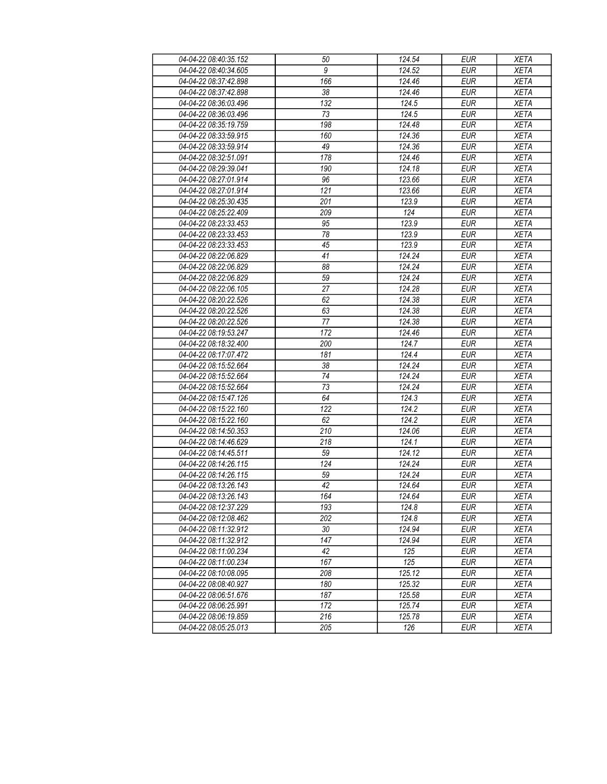| 04-04-22 08:40:35.152 | 50               | 124.54              | <b>EUR</b>       | <b>XETA</b> |
|-----------------------|------------------|---------------------|------------------|-------------|
| 04-04-22 08:40:34.605 | $\boldsymbol{9}$ | 124.52              | <b>EUR</b>       | <b>XETA</b> |
| 04-04-22 08:37:42.898 | 166              | 124.46              | <b>EUR</b>       | <b>XETA</b> |
| 04-04-22 08:37:42.898 | 38               | 124.46              | <b>EUR</b>       | <b>XETA</b> |
| 04-04-22 08:36:03.496 | 132              | 124.5               | <b>EUR</b>       | <b>XETA</b> |
| 04-04-22 08:36:03.496 | 73               | 124.5               | <b>EUR</b>       | <b>XETA</b> |
| 04-04-22 08:35:19.759 | 198              | 124.48              | <b>EUR</b>       | <b>XETA</b> |
| 04-04-22 08:33:59.915 | 160              | 124.36              | <b>EUR</b>       | <b>XETA</b> |
| 04-04-22 08:33:59.914 | 49               | 124.36              | <b>EUR</b>       | <b>XETA</b> |
| 04-04-22 08:32:51.091 | 178              | 124.46              | <b>EUR</b>       | <b>XETA</b> |
| 04-04-22 08:29:39.041 | 190              | 124.18              | <b>EUR</b>       | <b>XETA</b> |
| 04-04-22 08:27:01.914 | 96               | 123.66              | <b>EUR</b>       | <b>XETA</b> |
| 04-04-22 08:27:01.914 | 121              | 123.66              | <b>EUR</b>       | <b>XETA</b> |
| 04-04-22 08:25:30.435 | 201              | 123.9               | <b>EUR</b>       | <b>XETA</b> |
| 04-04-22 08:25:22.409 | 209              | 124                 | <b>EUR</b>       | <b>XETA</b> |
| 04-04-22 08:23:33.453 | 95               | 123.9               | <b>EUR</b>       | <b>XETA</b> |
| 04-04-22 08:23:33.453 | 78               | 123.9               | <b>EUR</b>       | <b>XETA</b> |
| 04-04-22 08:23:33.453 | 45               | 123.9               | <b>EUR</b>       | <b>XETA</b> |
| 04-04-22 08:22:06.829 | 41               | $\overline{124.24}$ | <b>EUR</b>       | <b>XETA</b> |
| 04-04-22 08:22:06.829 | 88               | 124.24              | <b>EUR</b>       | <b>XETA</b> |
| 04-04-22 08:22:06.829 | 59               | 124.24              | <b>EUR</b>       | <b>XETA</b> |
| 04-04-22 08:22:06.105 | 27               | 124.28              | <b>EUR</b>       | <b>XETA</b> |
| 04-04-22 08:20:22.526 | 62               | 124.38              | <b>EUR</b>       | <b>XETA</b> |
| 04-04-22 08:20:22.526 | 63               | 124.38              | <b>EUR</b>       | <b>XETA</b> |
| 04-04-22 08:20:22.526 | 77               | 124.38              | <b>EUR</b>       | <b>XETA</b> |
| 04-04-22 08:19:53.247 | 172              | 124.46              | <b>EUR</b>       | <b>XETA</b> |
| 04-04-22 08:18:32.400 | 200              | 124.7               | <b>EUR</b>       | <b>XETA</b> |
| 04-04-22 08:17:07.472 | 181              | 124.4               | <b>EUR</b>       | <b>XETA</b> |
| 04-04-22 08:15:52.664 | 38               | 124.24              | <b>EUR</b>       | <b>XETA</b> |
| 04-04-22 08:15:52.664 | 74               | 124.24              | <b>EUR</b>       | <b>XETA</b> |
| 04-04-22 08:15:52.664 | 73               | 124.24              | <b>EUR</b>       | <b>XETA</b> |
| 04-04-22 08:15:47.126 | 64               | 124.3               | <b>EUR</b>       | <b>XETA</b> |
| 04-04-22 08:15:22.160 | 122              | 124.2               | <b>EUR</b>       | <b>XETA</b> |
| 04-04-22 08:15:22.160 | 62               | 124.2               | <b>EUR</b>       | <b>XETA</b> |
| 04-04-22 08:14:50.353 | 210              | 124.06              | <b>EUR</b>       | <b>XETA</b> |
| 04-04-22 08:14:46.629 | 218              | 124.1               | <b>EUR</b>       | <b>XETA</b> |
| 04-04-22 08:14:45.511 | 59               | 124.12              | <b>EUR</b>       | <b>XETA</b> |
| 04-04-22 08:14:26.115 | 124              | 124.24              | <b>EUR</b>       | <b>XETA</b> |
| 04-04-22 08:14:26.115 | 59               | 124.24              | <b>EUR</b>       | <b>XETA</b> |
| 04-04-22 08:13:26.143 | $\overline{42}$  | 124.64              | <b>EUR</b>       | <b>XETA</b> |
| 04-04-22 08:13:26.143 | 164              | 124.64              | <b>EUR</b>       | <b>XETA</b> |
| 04-04-22 08:12:37.229 | 193              | 124.8               | <b>EUR</b>       | <b>XETA</b> |
| 04-04-22 08:12:08.462 | 202              | 124.8               | <b>EUR</b>       | <b>XETA</b> |
| 04-04-22 08:11:32.912 | 30               | 124.94              | <b>EUR</b>       | <b>XETA</b> |
| 04-04-22 08:11:32.912 | 147              | 124.94              | <b>EUR</b>       | <b>XETA</b> |
| 04-04-22 08:11:00.234 | 42               | 125                 | <b>EUR</b>       | <b>XETA</b> |
| 04-04-22 08:11:00.234 | 167              | 125                 | <b>EUR</b>       | <b>XETA</b> |
| 04-04-22 08:10:08.095 | 208              | 125.12              | <b>EUR</b>       | <b>XETA</b> |
| 04-04-22 08:08:40.927 | 180              | 125.32              | <b>EUR</b>       | <b>XETA</b> |
| 04-04-22 08:06:51.676 | 187              | 125.58              | <b>EUR</b>       | <b>XETA</b> |
| 04-04-22 08:06:25.991 | 172              | 125.74              | $E\overline{UR}$ | <b>XETA</b> |
| 04-04-22 08:06:19.859 | 216              | 125.78              | <b>EUR</b>       | <b>XETA</b> |
| 04-04-22 08:05:25.013 | 205              | 126                 | <b>EUR</b>       | <b>XETA</b> |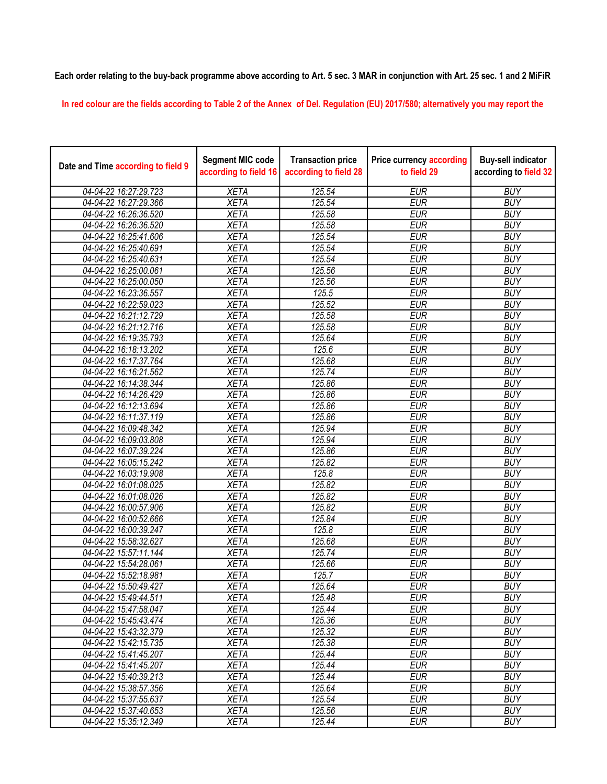## Each order relating to the buy-back programme above according to Art. 5 sec. 3 MAR in conjunction with Art. 25 sec. 1 and 2 MiFiR

In red colour are the fields according to Table 2 of the Annex of Del. Regulation (EU) 2017/580; alternatively you may report the

| Date and Time according to field 9 | <b>Segment MIC code</b><br>according to field 16 | <b>Transaction price</b><br>according to field 28 | <b>Price currency according</b><br>to field 29 | <b>Buy-sell indicator</b><br>according to field 32 |
|------------------------------------|--------------------------------------------------|---------------------------------------------------|------------------------------------------------|----------------------------------------------------|
| 04-04-22 16:27:29.723              | <b>XETA</b>                                      | 125.54                                            | <b>EUR</b>                                     | <b>BUY</b>                                         |
| 04-04-22 16:27:29.366              | <b>XETA</b>                                      | 125.54                                            | <b>EUR</b>                                     | <b>BUY</b>                                         |
| 04-04-22 16:26:36.520              | <b>XETA</b>                                      | 125.58                                            | <b>EUR</b>                                     | <b>BUY</b>                                         |
| 04-04-22 16:26:36.520              | <b>XETA</b>                                      | 125.58                                            | <b>EUR</b>                                     | <b>BUY</b>                                         |
| 04-04-22 16:25:41.606              | <b>XETA</b>                                      | 125.54                                            | <b>EUR</b>                                     | <b>BUY</b>                                         |
| 04-04-22 16:25:40.691              | <b>XETA</b>                                      | 125.54                                            | <b>EUR</b>                                     | <b>BUY</b>                                         |
| 04-04-22 16:25:40.631              | <b>XETA</b>                                      | 125.54                                            | <b>EUR</b>                                     | <b>BUY</b>                                         |
| 04-04-22 16:25:00.061              | <b>XETA</b>                                      | 125.56                                            | <b>EUR</b>                                     | <b>BUY</b>                                         |
| 04-04-22 16:25:00.050              | <b>XETA</b>                                      | 125.56                                            | <b>EUR</b>                                     | <b>BUY</b>                                         |
| 04-04-22 16:23:36.557              | <b>XETA</b>                                      | 125.5                                             | <b>EUR</b>                                     | <b>BUY</b>                                         |
| 04-04-22 16:22:59.023              | <b>XETA</b>                                      | 125.52                                            | <b>EUR</b>                                     | <b>BUY</b>                                         |
| 04-04-22 16:21:12.729              | <b>XETA</b>                                      | 125.58                                            | <b>EUR</b>                                     | <b>BUY</b>                                         |
| 04-04-22 16:21:12.716              | <b>XETA</b>                                      | 125.58                                            | <b>EUR</b>                                     | <b>BUY</b>                                         |
| 04-04-22 16:19:35.793              | <b>XETA</b>                                      | 125.64                                            | <b>EUR</b>                                     | <b>BUY</b>                                         |
| 04-04-22 16:18:13.202              | <b>XETA</b>                                      | 125.6                                             | <b>EUR</b>                                     | <b>BUY</b>                                         |
| 04-04-22 16:17:37.764              | <b>XETA</b>                                      | 125.68                                            | <b>EUR</b>                                     | <b>BUY</b>                                         |
| 04-04-22 16:16:21.562              | <b>XETA</b>                                      | 125.74                                            | <b>EUR</b>                                     | <b>BUY</b>                                         |
| 04-04-22 16:14:38.344              | <b>XETA</b>                                      | 125.86                                            | <b>EUR</b>                                     | <b>BUY</b>                                         |
| 04-04-22 16:14:26.429              | <b>XETA</b>                                      | 125.86                                            | <b>EUR</b>                                     | <b>BUY</b>                                         |
| 04-04-22 16:12:13.694              | <b>XETA</b>                                      | 125.86                                            | <b>EUR</b>                                     | <b>BUY</b>                                         |
| 04-04-22 16:11:37.119              | <b>XETA</b>                                      | 125.86                                            | <b>EUR</b>                                     | <b>BUY</b>                                         |
| 04-04-22 16:09:48.342              | <b>XETA</b>                                      | 125.94                                            | <b>EUR</b>                                     | <b>BUY</b>                                         |
| 04-04-22 16:09:03.808              | <b>XETA</b>                                      | 125.94                                            | <b>EUR</b>                                     | <b>BUY</b>                                         |
| 04-04-22 16:07:39.224              | <b>XETA</b>                                      | 125.86                                            | <b>EUR</b>                                     | <b>BUY</b>                                         |
| 04-04-22 16:05:15.242              | <b>XETA</b>                                      | 125.82                                            | <b>EUR</b>                                     | <b>BUY</b>                                         |
| 04-04-22 16:03:19.908              | <b>XETA</b>                                      | 125.8                                             | <b>EUR</b>                                     | <b>BUY</b>                                         |
| 04-04-22 16:01:08.025              | <b>XETA</b>                                      | 125.82                                            | <b>EUR</b>                                     | <b>BUY</b>                                         |
| 04-04-22 16:01:08.026              | <b>XETA</b>                                      | 125.82                                            | <b>EUR</b>                                     | <b>BUY</b>                                         |
| 04-04-22 16:00:57.906              | <b>XETA</b>                                      | 125.82                                            | <b>EUR</b>                                     | <b>BUY</b>                                         |
| 04-04-22 16:00:52.666              | <b>XETA</b>                                      | 125.84                                            | <b>EUR</b>                                     | <b>BUY</b>                                         |
| 04-04-22 16:00:39.247              | <b>XETA</b>                                      | 125.8                                             | <b>EUR</b>                                     | <b>BUY</b>                                         |
| 04-04-22 15:58:32.627              | <b>XETA</b>                                      | 125.68                                            | <b>EUR</b>                                     | <b>BUY</b>                                         |
| 04-04-22 15:57:11.144              | <b>XETA</b>                                      | 125.74                                            | <b>EUR</b>                                     | <b>BUY</b>                                         |
| 04-04-22 15:54:28.061              | <b>XETA</b>                                      | 125.66                                            | <b>EUR</b>                                     | <b>BUY</b>                                         |
| 04-04-22 15:52:18.981              | <b>XETA</b>                                      | 125.7                                             | <b>EUR</b>                                     | <b>BUY</b>                                         |
| 04-04-22 15:50:49.427              | <b>XETA</b>                                      | 125.64                                            | <b>EUR</b>                                     | <b>BUY</b>                                         |
| 04-04-22 15:49:44.511              | XETA                                             | 125.48                                            | EUR                                            | <b>BUY</b>                                         |
| 04-04-22 15:47:58.047              | <b>XETA</b>                                      | 125.44                                            | <b>EUR</b>                                     | <b>BUY</b>                                         |
| 04-04-22 15:45:43.474              | <b>XETA</b>                                      | 125.36                                            | <b>EUR</b>                                     | <b>BUY</b>                                         |
| 04-04-22 15:43:32.379              | <b>XETA</b>                                      | $\overline{125.32}$                               | <b>EUR</b>                                     | <b>BUY</b>                                         |
| 04-04-22 15:42:15.735              | <b>XETA</b>                                      | 125.38                                            | <b>EUR</b>                                     | <b>BUY</b>                                         |
| 04-04-22 15:41:45.207              | <b>XETA</b>                                      | 125.44                                            | <b>EUR</b>                                     | <b>BUY</b>                                         |
| 04-04-22 15:41:45.207              | <b>XETA</b>                                      | 125.44                                            | <b>EUR</b>                                     | <b>BUY</b>                                         |
| 04-04-22 15:40:39.213              | <b>XETA</b>                                      | 125.44                                            | <b>EUR</b>                                     | <b>BUY</b>                                         |
| 04-04-22 15:38:57.356              | <b>XETA</b>                                      | 125.64                                            | <b>EUR</b>                                     | <b>BUY</b>                                         |
| 04-04-22 15:37:55.637              | <b>XETA</b>                                      | 125.54                                            | <b>EUR</b>                                     | <b>BUY</b>                                         |
| 04-04-22 15:37:40.653              | <b>XETA</b>                                      | 125.56                                            | EUR                                            | <b>BUY</b>                                         |
| 04-04-22 15:35:12.349              | <b>XETA</b>                                      | 125.44                                            | <b>EUR</b>                                     | <b>BUY</b>                                         |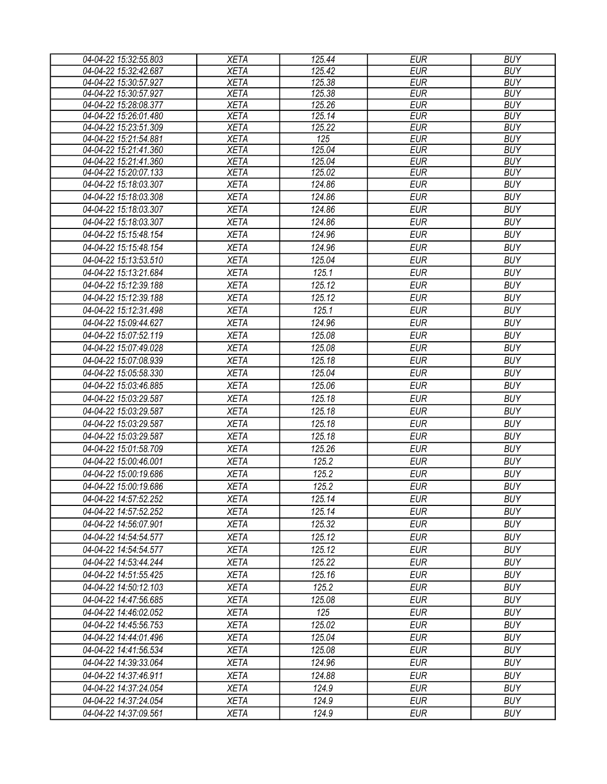| 04-04-22 15:32:55.803 | <b>XETA</b> | 125.44 | <b>EUR</b> | <b>BUY</b> |
|-----------------------|-------------|--------|------------|------------|
| 04-04-22 15:32:42.687 | <b>XETA</b> | 125.42 | <b>EUR</b> | <b>BUY</b> |
| 04-04-22 15:30:57.927 | <b>XETA</b> | 125.38 | <b>EUR</b> | <b>BUY</b> |
| 04-04-22 15:30:57.927 | <b>XETA</b> | 125.38 | <b>EUR</b> | <b>BUY</b> |
| 04-04-22 15:28:08.377 | <b>XETA</b> | 125.26 | <b>EUR</b> | <b>BUY</b> |
| 04-04-22 15:26:01.480 | <b>XETA</b> | 125.14 | <b>EUR</b> | <b>BUY</b> |
| 04-04-22 15:23:51.309 | <b>XETA</b> | 125.22 | <b>EUR</b> | <b>BUY</b> |
| 04-04-22 15:21:54.881 | <b>XETA</b> | 125    | <b>EUR</b> | <b>BUY</b> |
| 04-04-22 15:21:41.360 | <b>XETA</b> | 125.04 | <b>EUR</b> | <b>BUY</b> |
| 04-04-22 15:21:41.360 | <b>XETA</b> | 125.04 | <b>EUR</b> | <b>BUY</b> |
| 04-04-22 15:20:07.133 | <b>XETA</b> | 125.02 | <b>EUR</b> | <b>BUY</b> |
| 04-04-22 15:18:03.307 | <b>XETA</b> | 124.86 | <b>EUR</b> | <b>BUY</b> |
| 04-04-22 15:18:03.308 | <b>XETA</b> | 124.86 | <b>EUR</b> | <b>BUY</b> |
| 04-04-22 15:18:03.307 | <b>XETA</b> | 124.86 | <b>EUR</b> | <b>BUY</b> |
| 04-04-22 15:18:03.307 | <b>XETA</b> | 124.86 | <b>EUR</b> | <b>BUY</b> |
| 04-04-22 15:15:48.154 | <b>XETA</b> | 124.96 | <b>EUR</b> | <b>BUY</b> |
| 04-04-22 15:15:48.154 | <b>XETA</b> | 124.96 | <b>EUR</b> | <b>BUY</b> |
| 04-04-22 15:13:53.510 | <b>XETA</b> | 125.04 | <b>EUR</b> | <b>BUY</b> |
| 04-04-22 15:13:21.684 | <b>XETA</b> | 125.1  | <b>EUR</b> | <b>BUY</b> |
| 04-04-22 15:12:39.188 | <b>XETA</b> | 125.12 | <b>EUR</b> | <b>BUY</b> |
| 04-04-22 15:12:39.188 | <b>XETA</b> | 125.12 | <b>EUR</b> | <b>BUY</b> |
| 04-04-22 15:12:31.498 | <b>XETA</b> | 125.1  | <b>EUR</b> | <b>BUY</b> |
| 04-04-22 15:09:44.627 | <b>XETA</b> | 124.96 | <b>EUR</b> | <b>BUY</b> |
| 04-04-22 15:07:52.119 | <b>XETA</b> | 125.08 | <b>EUR</b> | <b>BUY</b> |
| 04-04-22 15:07:49.028 | <b>XETA</b> | 125.08 | <b>EUR</b> | <b>BUY</b> |
| 04-04-22 15:07:08.939 | <b>XETA</b> | 125.18 | <b>EUR</b> | <b>BUY</b> |
| 04-04-22 15:05:58.330 | <b>XETA</b> | 125.04 | <b>EUR</b> | <b>BUY</b> |
| 04-04-22 15:03:46.885 | <b>XETA</b> | 125.06 | <b>EUR</b> | <b>BUY</b> |
|                       |             |        |            |            |
| 04-04-22 15:03:29.587 | <b>XETA</b> | 125.18 | <b>EUR</b> | <b>BUY</b> |
| 04-04-22 15:03:29.587 | <b>XETA</b> | 125.18 | <b>EUR</b> | <b>BUY</b> |
| 04-04-22 15:03:29.587 | <b>XETA</b> | 125.18 | <b>EUR</b> | <b>BUY</b> |
| 04-04-22 15:03:29.587 | <b>XETA</b> | 125.18 | <b>EUR</b> | <b>BUY</b> |
| 04-04-22 15:01:58.709 | <b>XETA</b> | 125.26 | <b>EUR</b> | <b>BUY</b> |
| 04-04-22 15:00:46.001 | <b>XETA</b> | 125.2  | <b>EUR</b> | <b>BUY</b> |
| 04-04-22 15:00:19.686 | <b>XETA</b> | 125.2  | <b>EUR</b> | <b>BUY</b> |
| 04-04-22 15:00:19.686 | <b>XETA</b> | 125.2  | <b>EUR</b> | <b>BUY</b> |
| 04-04-22 14:57:52.252 | <b>XETA</b> | 125.14 | <b>EUR</b> | <b>BUY</b> |
| 04-04-22 14:57:52.252 | <b>XETA</b> | 125.14 | <b>EUR</b> | <b>BUY</b> |
| 04-04-22 14:56:07.901 | <b>XETA</b> | 125.32 | <b>EUR</b> | <b>BUY</b> |
| 04-04-22 14:54:54.577 | <b>XETA</b> | 125.12 | <b>EUR</b> | <b>BUY</b> |
| 04-04-22 14:54:54.577 | <b>XETA</b> | 125.12 | <b>EUR</b> | <b>BUY</b> |
| 04-04-22 14:53:44.244 | <b>XETA</b> | 125.22 | <b>EUR</b> | <b>BUY</b> |
| 04-04-22 14:51:55.425 | XETA        | 125.16 | <b>EUR</b> | <b>BUY</b> |
| 04-04-22 14:50:12.103 | <b>XETA</b> | 125.2  | <b>EUR</b> | <b>BUY</b> |
| 04-04-22 14:47:56.685 | <b>XETA</b> | 125.08 | <b>EUR</b> | <b>BUY</b> |
| 04-04-22 14:46:02.052 | <b>XETA</b> | 125    | <b>EUR</b> | <b>BUY</b> |
| 04-04-22 14:45:56.753 | <b>XETA</b> | 125.02 | <b>EUR</b> | <b>BUY</b> |
| 04-04-22 14:44:01.496 | <b>XETA</b> | 125.04 | <b>EUR</b> | <b>BUY</b> |
| 04-04-22 14:41:56.534 | <b>XETA</b> | 125.08 | <b>EUR</b> | <b>BUY</b> |
| 04-04-22 14:39:33.064 | <b>XETA</b> | 124.96 | <b>EUR</b> | <b>BUY</b> |
| 04-04-22 14:37:46.911 | <b>XETA</b> | 124.88 | <b>EUR</b> | <b>BUY</b> |
| 04-04-22 14:37:24.054 | <b>XETA</b> | 124.9  | <b>EUR</b> | <b>BUY</b> |
| 04-04-22 14:37:24.054 | <b>XETA</b> | 124.9  | <b>EUR</b> | <b>BUY</b> |
| 04-04-22 14:37:09.561 | <b>XETA</b> | 124.9  | <b>EUR</b> | <b>BUY</b> |
|                       |             |        |            |            |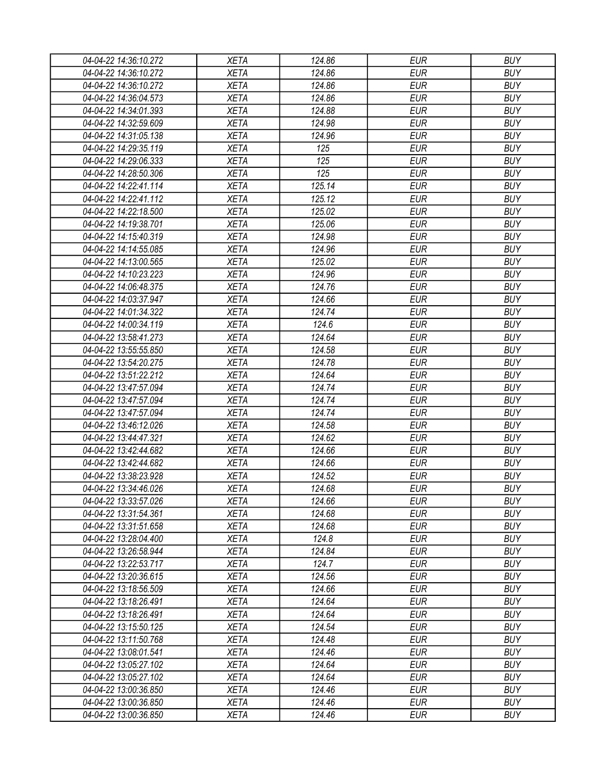| 04-04-22 14:36:10.272 | <b>XETA</b> | 124.86 | <b>EUR</b> | <b>BUY</b> |
|-----------------------|-------------|--------|------------|------------|
| 04-04-22 14:36:10.272 | <b>XETA</b> | 124.86 | <b>EUR</b> | <b>BUY</b> |
| 04-04-22 14:36:10.272 | <b>XETA</b> | 124.86 | <b>EUR</b> | <b>BUY</b> |
| 04-04-22 14:36:04.573 | <b>XETA</b> | 124.86 | <b>EUR</b> | <b>BUY</b> |
| 04-04-22 14:34:01.393 | <b>XETA</b> | 124.88 | <b>EUR</b> | <b>BUY</b> |
| 04-04-22 14:32:59.609 | <b>XETA</b> | 124.98 | <b>EUR</b> | <b>BUY</b> |
| 04-04-22 14:31:05.138 | <b>XETA</b> | 124.96 | <b>EUR</b> | <b>BUY</b> |
| 04-04-22 14:29:35.119 | <b>XETA</b> | 125    | <b>EUR</b> | <b>BUY</b> |
| 04-04-22 14:29:06.333 | <b>XETA</b> | 125    | <b>EUR</b> | <b>BUY</b> |
| 04-04-22 14:28:50.306 | <b>XETA</b> | 125    | <b>EUR</b> | <b>BUY</b> |
| 04-04-22 14:22:41.114 | <b>XETA</b> | 125.14 | <b>EUR</b> | <b>BUY</b> |
| 04-04-22 14:22:41.112 | <b>XETA</b> | 125.12 | <b>EUR</b> | <b>BUY</b> |
| 04-04-22 14:22:18.500 | <b>XETA</b> | 125.02 | <b>EUR</b> | <b>BUY</b> |
| 04-04-22 14:19:38.701 | <b>XETA</b> | 125.06 | <b>EUR</b> | <b>BUY</b> |
| 04-04-22 14:15:40.319 | <b>XETA</b> | 124.98 | <b>EUR</b> | <b>BUY</b> |
| 04-04-22 14:14:55.085 | <b>XETA</b> | 124.96 | <b>EUR</b> | <b>BUY</b> |
| 04-04-22 14:13:00.565 | <b>XETA</b> | 125.02 | <b>EUR</b> | <b>BUY</b> |
| 04-04-22 14:10:23.223 | <b>XETA</b> | 124.96 | <b>EUR</b> | <b>BUY</b> |
| 04-04-22 14:06:48.375 | <b>XETA</b> | 124.76 | <b>EUR</b> | <b>BUY</b> |
| 04-04-22 14:03:37.947 | <b>XETA</b> | 124.66 | <b>EUR</b> | <b>BUY</b> |
| 04-04-22 14:01:34.322 | <b>XETA</b> | 124.74 | <b>EUR</b> | <b>BUY</b> |
| 04-04-22 14:00:34.119 | <b>XETA</b> | 124.6  | <b>EUR</b> | <b>BUY</b> |
| 04-04-22 13:58:41.273 | <b>XETA</b> | 124.64 | <b>EUR</b> | <b>BUY</b> |
| 04-04-22 13:55:55.850 | <b>XETA</b> | 124.58 | <b>EUR</b> | <b>BUY</b> |
| 04-04-22 13:54:20.275 | <b>XETA</b> | 124.78 | <b>EUR</b> | <b>BUY</b> |
| 04-04-22 13:51:22.212 | <b>XETA</b> | 124.64 | <b>EUR</b> | <b>BUY</b> |
| 04-04-22 13:47:57.094 | <b>XETA</b> | 124.74 | <b>EUR</b> | <b>BUY</b> |
| 04-04-22 13:47:57.094 | <b>XETA</b> | 124.74 | <b>EUR</b> | <b>BUY</b> |
| 04-04-22 13:47:57.094 | <b>XETA</b> | 124.74 | <b>EUR</b> | <b>BUY</b> |
| 04-04-22 13:46:12.026 | <b>XETA</b> | 124.58 | <b>EUR</b> | <b>BUY</b> |
| 04-04-22 13:44:47.321 | <b>XETA</b> | 124.62 | <b>EUR</b> | <b>BUY</b> |
| 04-04-22 13:42:44.682 | <b>XETA</b> | 124.66 | <b>EUR</b> | <b>BUY</b> |
| 04-04-22 13:42:44.682 | <b>XETA</b> | 124.66 | <b>EUR</b> | <b>BUY</b> |
| 04-04-22 13:38:23.928 | <b>XETA</b> | 124.52 | <b>EUR</b> | <b>BUY</b> |
| 04-04-22 13:34:46.026 | <b>XETA</b> | 124.68 | <b>EUR</b> | <b>BUY</b> |
| 04-04-22 13:33:57.026 | <b>XETA</b> | 124.66 | <b>EUR</b> | <b>BUY</b> |
| 04-04-22 13:31:54.361 | <b>XETA</b> | 124.68 | <b>EUR</b> | <b>BUY</b> |
| 04-04-22 13:31:51.658 | <b>XETA</b> | 124.68 | <b>EUR</b> | <b>BUY</b> |
| 04-04-22 13:28:04.400 | <b>XETA</b> | 124.8  | <b>EUR</b> | <b>BUY</b> |
| 04-04-22 13:26:58.944 | <b>XETA</b> | 124.84 | <b>EUR</b> | <b>BUY</b> |
| 04-04-22 13:22:53.717 | <b>XETA</b> | 124.7  | <b>EUR</b> | <b>BUY</b> |
| 04-04-22 13:20:36.615 | <b>XETA</b> | 124.56 | <b>EUR</b> | <b>BUY</b> |
| 04-04-22 13:18:56.509 | <b>XETA</b> | 124.66 | <b>EUR</b> | <b>BUY</b> |
| 04-04-22 13:18:26.491 | <b>XETA</b> | 124.64 | <b>EUR</b> | <b>BUY</b> |
| 04-04-22 13:18:26.491 | <b>XETA</b> | 124.64 | <b>EUR</b> | <b>BUY</b> |
| 04-04-22 13:15:50.125 | <b>XETA</b> | 124.54 | <b>EUR</b> | <b>BUY</b> |
| 04-04-22 13:11:50.768 | <b>XETA</b> | 124.48 | <b>EUR</b> | <b>BUY</b> |
| 04-04-22 13:08:01.541 | <b>XETA</b> | 124.46 | <b>EUR</b> | <b>BUY</b> |
| 04-04-22 13:05:27.102 | <b>XETA</b> | 124.64 | <b>EUR</b> | <b>BUY</b> |
| 04-04-22 13:05:27.102 | <b>XETA</b> | 124.64 | <b>EUR</b> | <b>BUY</b> |
| 04-04-22 13:00:36.850 | <b>XETA</b> | 124.46 | <b>EUR</b> | <b>BUY</b> |
| 04-04-22 13:00:36.850 | XETA        | 124.46 | <b>EUR</b> | <b>BUY</b> |
| 04-04-22 13:00:36.850 | <b>XETA</b> | 124.46 | <b>EUR</b> | <b>BUY</b> |
|                       |             |        |            |            |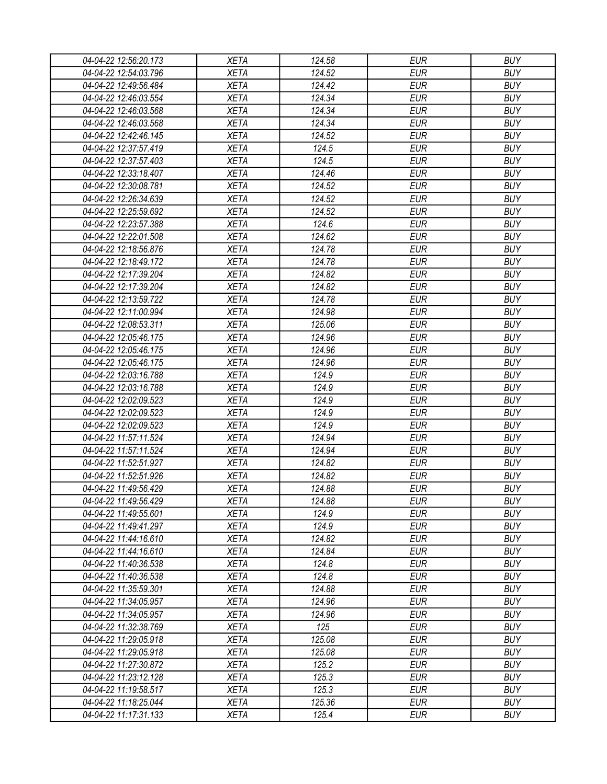| 04-04-22 12:56:20.173 | <b>XETA</b> | 124.58 | <b>EUR</b> | <b>BUY</b> |
|-----------------------|-------------|--------|------------|------------|
| 04-04-22 12:54:03.796 | <b>XETA</b> | 124.52 | <b>EUR</b> | <b>BUY</b> |
| 04-04-22 12:49:56.484 | <b>XETA</b> | 124.42 | <b>EUR</b> | <b>BUY</b> |
| 04-04-22 12:46:03.554 | <b>XETA</b> | 124.34 | <b>EUR</b> | <b>BUY</b> |
| 04-04-22 12:46:03.568 | <b>XETA</b> | 124.34 | <b>EUR</b> | <b>BUY</b> |
| 04-04-22 12:46:03.568 | <b>XETA</b> | 124.34 | <b>EUR</b> | <b>BUY</b> |
| 04-04-22 12:42:46.145 | <b>XETA</b> | 124.52 | <b>EUR</b> | <b>BUY</b> |
| 04-04-22 12:37:57.419 | <b>XETA</b> | 124.5  | <b>EUR</b> | <b>BUY</b> |
| 04-04-22 12:37:57.403 | <b>XETA</b> | 124.5  | <b>EUR</b> | <b>BUY</b> |
| 04-04-22 12:33:18.407 | <b>XETA</b> | 124.46 | <b>EUR</b> | <b>BUY</b> |
| 04-04-22 12:30:08.781 | <b>XETA</b> | 124.52 | <b>EUR</b> | <b>BUY</b> |
| 04-04-22 12:26:34.639 | <b>XETA</b> | 124.52 | <b>EUR</b> | <b>BUY</b> |
| 04-04-22 12:25:59.692 | <b>XETA</b> | 124.52 | <b>EUR</b> | <b>BUY</b> |
| 04-04-22 12:23:57.388 | <b>XETA</b> | 124.6  | <b>EUR</b> | <b>BUY</b> |
| 04-04-22 12:22:01.508 | <b>XETA</b> | 124.62 | <b>EUR</b> | <b>BUY</b> |
| 04-04-22 12:18:56.876 | <b>XETA</b> | 124.78 | <b>EUR</b> | <b>BUY</b> |
| 04-04-22 12:18:49.172 | <b>XETA</b> | 124.78 | <b>EUR</b> | <b>BUY</b> |
| 04-04-22 12:17:39.204 | <b>XETA</b> | 124.82 | <b>EUR</b> | <b>BUY</b> |
| 04-04-22 12:17:39.204 | <b>XETA</b> | 124.82 | <b>EUR</b> | <b>BUY</b> |
| 04-04-22 12:13:59.722 | <b>XETA</b> | 124.78 | <b>EUR</b> | <b>BUY</b> |
| 04-04-22 12:11:00.994 | <b>XETA</b> | 124.98 | <b>EUR</b> | <b>BUY</b> |
| 04-04-22 12:08:53.311 | <b>XETA</b> | 125.06 | <b>EUR</b> | <b>BUY</b> |
| 04-04-22 12:05:46.175 | <b>XETA</b> | 124.96 | <b>EUR</b> | <b>BUY</b> |
| 04-04-22 12:05:46.175 | <b>XETA</b> | 124.96 | <b>EUR</b> | <b>BUY</b> |
| 04-04-22 12:05:46.175 | <b>XETA</b> | 124.96 | <b>EUR</b> | <b>BUY</b> |
| 04-04-22 12:03:16.788 | <b>XETA</b> | 124.9  | <b>EUR</b> | <b>BUY</b> |
| 04-04-22 12:03:16.788 | <b>XETA</b> | 124.9  | <b>EUR</b> | <b>BUY</b> |
| 04-04-22 12:02:09.523 | <b>XETA</b> | 124.9  | <b>EUR</b> | <b>BUY</b> |
| 04-04-22 12:02:09.523 | <b>XETA</b> | 124.9  | <b>EUR</b> | <b>BUY</b> |
| 04-04-22 12:02:09.523 | <b>XETA</b> | 124.9  | <b>EUR</b> | <b>BUY</b> |
| 04-04-22 11:57:11.524 | <b>XETA</b> | 124.94 | <b>EUR</b> | <b>BUY</b> |
| 04-04-22 11:57:11.524 | <b>XETA</b> | 124.94 | <b>EUR</b> | <b>BUY</b> |
| 04-04-22 11:52:51.927 | <b>XETA</b> | 124.82 | <b>EUR</b> | <b>BUY</b> |
| 04-04-22 11:52:51.926 | <b>XETA</b> | 124.82 | <b>EUR</b> | <b>BUY</b> |
| 04-04-22 11:49:56.429 | <b>XETA</b> | 124.88 | <b>EUR</b> | <b>BUY</b> |
| 04-04-22 11:49:56.429 | <b>XETA</b> | 124.88 | <b>EUR</b> | <b>BUY</b> |
| 04-04-22 11:49:55.601 | <b>XETA</b> | 124.9  | <b>EUR</b> | <b>BUY</b> |
| 04-04-22 11:49:41.297 | <b>XETA</b> | 124.9  | <b>EUR</b> | <b>BUY</b> |
| 04-04-22 11:44:16.610 | <b>XETA</b> | 124.82 | <b>EUR</b> | <b>BUY</b> |
| 04-04-22 11:44:16.610 | <b>XETA</b> | 124.84 | <b>EUR</b> | <b>BUY</b> |
| 04-04-22 11:40:36.538 | <b>XETA</b> | 124.8  | <b>EUR</b> | <b>BUY</b> |
| 04-04-22 11:40:36.538 | <b>XETA</b> | 124.8  | <b>EUR</b> | <b>BUY</b> |
| 04-04-22 11:35:59.301 | <b>XETA</b> | 124.88 | <b>EUR</b> | <b>BUY</b> |
| 04-04-22 11:34:05.957 | <b>XETA</b> | 124.96 | <b>EUR</b> | <b>BUY</b> |
| 04-04-22 11:34:05.957 | <b>XETA</b> | 124.96 | <b>EUR</b> | <b>BUY</b> |
| 04-04-22 11:32:38.769 | <b>XETA</b> | 125    | <b>EUR</b> | <b>BUY</b> |
| 04-04-22 11:29:05.918 | <b>XETA</b> | 125.08 | <b>EUR</b> | <b>BUY</b> |
| 04-04-22 11:29:05.918 | <b>XETA</b> | 125.08 | <b>EUR</b> | <b>BUY</b> |
| 04-04-22 11:27:30.872 | <b>XETA</b> | 125.2  | <b>EUR</b> | <b>BUY</b> |
| 04-04-22 11:23:12.128 | <b>XETA</b> | 125.3  | <b>EUR</b> | <b>BUY</b> |
| 04-04-22 11:19:58.517 | <b>XETA</b> | 125.3  | <b>EUR</b> | <b>BUY</b> |
| 04-04-22 11:18:25.044 | <b>XETA</b> | 125.36 | <b>EUR</b> | <b>BUY</b> |
| 04-04-22 11:17:31.133 | <b>XETA</b> | 125.4  | <b>EUR</b> | <b>BUY</b> |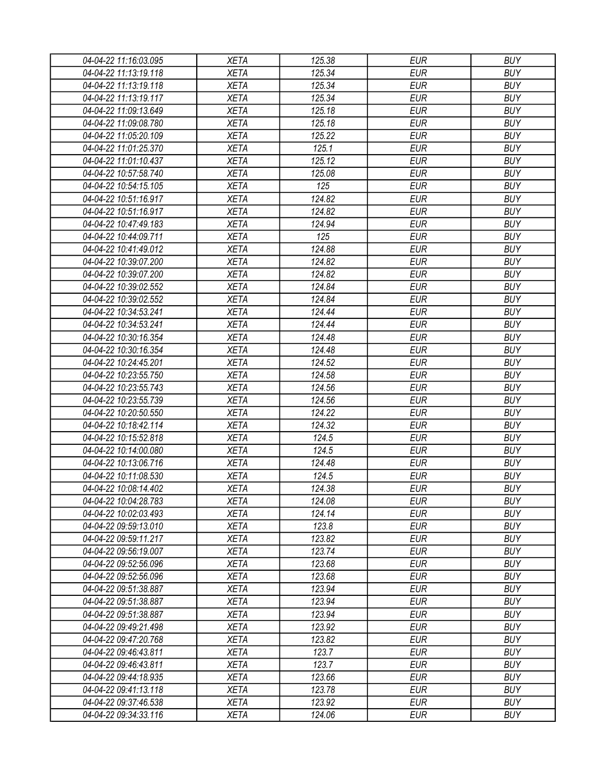| 04-04-22 11:16:03.095 | <b>XETA</b> | 125.38 | <b>EUR</b> | <b>BUY</b> |
|-----------------------|-------------|--------|------------|------------|
| 04-04-22 11:13:19.118 | <b>XETA</b> | 125.34 | <b>EUR</b> | <b>BUY</b> |
| 04-04-22 11:13:19.118 | <b>XETA</b> | 125.34 | <b>EUR</b> | <b>BUY</b> |
| 04-04-22 11:13:19.117 | <b>XETA</b> | 125.34 | <b>EUR</b> | <b>BUY</b> |
| 04-04-22 11:09:13.649 | <b>XETA</b> | 125.18 | <b>EUR</b> | <b>BUY</b> |
| 04-04-22 11:09:08.780 | <b>XETA</b> | 125.18 | <b>EUR</b> | <b>BUY</b> |
| 04-04-22 11:05:20.109 | <b>XETA</b> | 125.22 | <b>EUR</b> | <b>BUY</b> |
| 04-04-22 11:01:25.370 | <b>XETA</b> | 125.1  | <b>EUR</b> | <b>BUY</b> |
| 04-04-22 11:01:10.437 | <b>XETA</b> | 125.12 | <b>EUR</b> | <b>BUY</b> |
| 04-04-22 10:57:58.740 | <b>XETA</b> | 125.08 | <b>EUR</b> | <b>BUY</b> |
| 04-04-22 10:54:15.105 | <b>XETA</b> | 125    | <b>EUR</b> | <b>BUY</b> |
| 04-04-22 10:51:16.917 | <b>XETA</b> | 124.82 | <b>EUR</b> | <b>BUY</b> |
| 04-04-22 10:51:16.917 | <b>XETA</b> | 124.82 | <b>EUR</b> | <b>BUY</b> |
| 04-04-22 10:47:49.183 | <b>XETA</b> | 124.94 | <b>EUR</b> | <b>BUY</b> |
| 04-04-22 10:44:09.711 | <b>XETA</b> | 125    | <b>EUR</b> | <b>BUY</b> |
| 04-04-22 10:41:49.012 | <b>XETA</b> | 124.88 | <b>EUR</b> | <b>BUY</b> |
| 04-04-22 10:39:07.200 | <b>XETA</b> | 124.82 | <b>EUR</b> | <b>BUY</b> |
| 04-04-22 10:39:07.200 | <b>XETA</b> | 124.82 | <b>EUR</b> | <b>BUY</b> |
| 04-04-22 10:39:02.552 | <b>XETA</b> | 124.84 | <b>EUR</b> | <b>BUY</b> |
| 04-04-22 10:39:02.552 | <b>XETA</b> | 124.84 | <b>EUR</b> | <b>BUY</b> |
| 04-04-22 10:34:53.241 | <b>XETA</b> | 124.44 | <b>EUR</b> | <b>BUY</b> |
| 04-04-22 10:34:53.241 | <b>XETA</b> | 124.44 | <b>EUR</b> | <b>BUY</b> |
| 04-04-22 10:30:16.354 | <b>XETA</b> | 124.48 | <b>EUR</b> | <b>BUY</b> |
| 04-04-22 10:30:16.354 | <b>XETA</b> | 124.48 | <b>EUR</b> | <b>BUY</b> |
| 04-04-22 10:24:45.201 | <b>XETA</b> | 124.52 | <b>EUR</b> | <b>BUY</b> |
| 04-04-22 10:23:55.750 | <b>XETA</b> | 124.58 | <b>EUR</b> | <b>BUY</b> |
| 04-04-22 10:23:55.743 | <b>XETA</b> | 124.56 | <b>EUR</b> | <b>BUY</b> |
| 04-04-22 10:23:55.739 | <b>XETA</b> | 124.56 | <b>EUR</b> | <b>BUY</b> |
| 04-04-22 10:20:50.550 | <b>XETA</b> | 124.22 | <b>EUR</b> | <b>BUY</b> |
| 04-04-22 10:18:42.114 | <b>XETA</b> | 124.32 | <b>EUR</b> | <b>BUY</b> |
| 04-04-22 10:15:52.818 | <b>XETA</b> | 124.5  | <b>EUR</b> | <b>BUY</b> |
| 04-04-22 10:14:00.080 | <b>XETA</b> | 124.5  | <b>EUR</b> | <b>BUY</b> |
| 04-04-22 10:13:06.716 | <b>XETA</b> | 124.48 | <b>EUR</b> | <b>BUY</b> |
| 04-04-22 10:11:08.530 | <b>XETA</b> | 124.5  | <b>EUR</b> | <b>BUY</b> |
| 04-04-22 10:08:14.402 | <b>XETA</b> | 124.38 | <b>EUR</b> | <b>BUY</b> |
| 04-04-22 10:04:28.783 | <b>XETA</b> | 124.08 | <b>EUR</b> | <b>BUY</b> |
| 04-04-22 10:02:03.493 | <b>XETA</b> | 124.14 | <b>EUR</b> | <b>BUY</b> |
| 04-04-22 09:59:13.010 | <b>XETA</b> | 123.8  | <b>EUR</b> | <b>BUY</b> |
| 04-04-22 09:59:11.217 | <b>XETA</b> | 123.82 | <b>EUR</b> | <b>BUY</b> |
| 04-04-22 09:56:19.007 | <b>XETA</b> | 123.74 | <b>EUR</b> | <b>BUY</b> |
| 04-04-22 09:52:56.096 | <b>XETA</b> | 123.68 | <b>EUR</b> | <b>BUY</b> |
| 04-04-22 09:52:56.096 | <b>XETA</b> | 123.68 | <b>EUR</b> | <b>BUY</b> |
| 04-04-22 09:51:38.887 | <b>XETA</b> | 123.94 | <b>EUR</b> | <b>BUY</b> |
| 04-04-22 09:51:38.887 | <b>XETA</b> | 123.94 | <b>EUR</b> | <b>BUY</b> |
| 04-04-22 09:51:38.887 | <b>XETA</b> | 123.94 | <b>EUR</b> | <b>BUY</b> |
| 04-04-22 09:49:21.498 | <b>XETA</b> | 123.92 | <b>EUR</b> | <b>BUY</b> |
| 04-04-22 09:47:20.768 | <b>XETA</b> | 123.82 | <b>EUR</b> | <b>BUY</b> |
| 04-04-22 09:46:43.811 | <b>XETA</b> | 123.7  | <b>EUR</b> | <b>BUY</b> |
| 04-04-22 09:46:43.811 | <b>XETA</b> | 123.7  | <b>EUR</b> | <b>BUY</b> |
| 04-04-22 09:44:18.935 | <b>XETA</b> | 123.66 | <b>EUR</b> | <b>BUY</b> |
| 04-04-22 09:41:13.118 | <b>XETA</b> | 123.78 | <b>EUR</b> | <b>BUY</b> |
| 04-04-22 09:37:46.538 | <b>XETA</b> | 123.92 | <b>EUR</b> | <b>BUY</b> |
| 04-04-22 09:34:33.116 | XETA        | 124.06 | <b>EUR</b> | <b>BUY</b> |
|                       |             |        |            |            |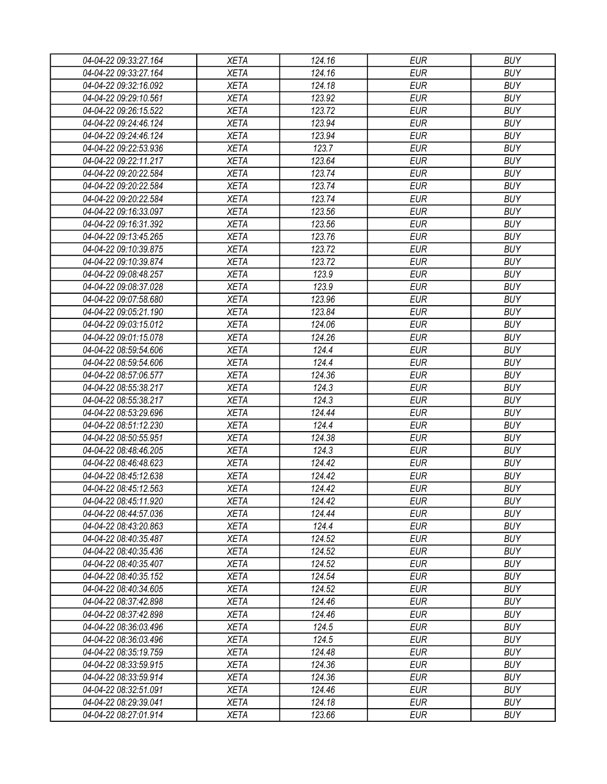| 04-04-22 09:33:27.164                          | <b>XETA</b> | 124.16 | <b>EUR</b> | <b>BUY</b> |
|------------------------------------------------|-------------|--------|------------|------------|
| 04-04-22 09:33:27.164                          | <b>XETA</b> | 124.16 | <b>EUR</b> | <b>BUY</b> |
| 04-04-22 09:32:16.092                          | <b>XETA</b> | 124.18 | <b>EUR</b> | <b>BUY</b> |
| 04-04-22 09:29:10.561                          | <b>XETA</b> | 123.92 | <b>EUR</b> | <b>BUY</b> |
| 04-04-22 09:26:15.522                          | <b>XETA</b> | 123.72 | <b>EUR</b> | <b>BUY</b> |
| 04-04-22 09:24:46.124                          | <b>XETA</b> | 123.94 | <b>EUR</b> | <b>BUY</b> |
| 04-04-22 09:24:46.124                          | <b>XETA</b> | 123.94 | <b>EUR</b> | <b>BUY</b> |
| 04-04-22 09:22:53.936                          | <b>XETA</b> | 123.7  | <b>EUR</b> | <b>BUY</b> |
| 04-04-22 09:22:11.217                          | <b>XETA</b> | 123.64 | <b>EUR</b> | <b>BUY</b> |
| 04-04-22 09:20:22.584                          | <b>XETA</b> | 123.74 | <b>EUR</b> | <b>BUY</b> |
| 04-04-22 09:20:22.584                          | <b>XETA</b> | 123.74 | <b>EUR</b> | <b>BUY</b> |
| 04-04-22 09:20:22.584                          | <b>XETA</b> | 123.74 | <b>EUR</b> | <b>BUY</b> |
| 04-04-22 09:16:33.097                          | <b>XETA</b> | 123.56 | <b>EUR</b> | <b>BUY</b> |
| 04-04-22 09:16:31.392                          | <b>XETA</b> | 123.56 | <b>EUR</b> | <b>BUY</b> |
| 04-04-22 09:13:45.265                          | <b>XETA</b> | 123.76 | <b>EUR</b> | <b>BUY</b> |
| 04-04-22 09:10:39.875                          | <b>XETA</b> | 123.72 | <b>EUR</b> | <b>BUY</b> |
| 04-04-22 09:10:39.874                          | <b>XETA</b> | 123.72 | <b>EUR</b> | <b>BUY</b> |
| 04-04-22 09:08:48.257                          | <b>XETA</b> | 123.9  | <b>EUR</b> | <b>BUY</b> |
| 04-04-22 09:08:37.028                          | <b>XETA</b> | 123.9  | <b>EUR</b> | <b>BUY</b> |
| 04-04-22 09:07:58.680                          | <b>XETA</b> | 123.96 | <b>EUR</b> | <b>BUY</b> |
| 04-04-22 09:05:21.190                          | <b>XETA</b> | 123.84 | <b>EUR</b> | <b>BUY</b> |
| 04-04-22 09:03:15.012                          | <b>XETA</b> | 124.06 | <b>EUR</b> | <b>BUY</b> |
| 04-04-22 09:01:15.078                          | <b>XETA</b> | 124.26 | <b>EUR</b> | <b>BUY</b> |
| 04-04-22 08:59:54.606                          | <b>XETA</b> | 124.4  | <b>EUR</b> | <b>BUY</b> |
| 04-04-22 08:59:54.606                          | <b>XETA</b> | 124.4  | <b>EUR</b> | <b>BUY</b> |
| 04-04-22 08:57:06.577                          | <b>XETA</b> | 124.36 | <b>EUR</b> | <b>BUY</b> |
| 04-04-22 08:55:38.217                          | <b>XETA</b> | 124.3  | <b>EUR</b> | <b>BUY</b> |
| 04-04-22 08:55:38.217                          | <b>XETA</b> | 124.3  | <b>EUR</b> | <b>BUY</b> |
| 04-04-22 08:53:29.696                          | <b>XETA</b> | 124.44 | <b>EUR</b> | <b>BUY</b> |
| 04-04-22 08:51:12.230                          | <b>XETA</b> | 124.4  | <b>EUR</b> | <b>BUY</b> |
| 04-04-22 08:50:55.951                          | <b>XETA</b> | 124.38 | <b>EUR</b> | <b>BUY</b> |
| 04-04-22 08:48:46.205                          | <b>XETA</b> | 124.3  | <b>EUR</b> | <b>BUY</b> |
| 04-04-22 08:46:48.623                          | <b>XETA</b> | 124.42 | <b>EUR</b> | <b>BUY</b> |
| 04-04-22 08:45:12.638                          | <b>XETA</b> | 124.42 | <b>EUR</b> | <b>BUY</b> |
| 04-04-22 08:45:12.563                          | <b>XETA</b> | 124.42 | <b>EUR</b> | <b>BUY</b> |
| 04-04-22 08:45:11.920                          | <b>XETA</b> | 124.42 | <b>EUR</b> | <b>BUY</b> |
| 04-04-22 08:44:57.036                          | <b>XETA</b> | 124.44 | <b>EUR</b> | <b>BUY</b> |
|                                                | <b>XETA</b> | 124.4  | <b>EUR</b> | <b>BUY</b> |
| 04-04-22 08:43:20.863<br>04-04-22 08:40:35.487 | <b>XETA</b> | 124.52 | <b>EUR</b> | <b>BUY</b> |
| 04-04-22 08:40:35.436                          |             |        | <b>EUR</b> | <b>BUY</b> |
|                                                | <b>XETA</b> | 124.52 |            |            |
| 04-04-22 08:40:35.407                          | <b>XETA</b> | 124.52 | <b>EUR</b> | <b>BUY</b> |
| 04-04-22 08:40:35.152                          | <b>XETA</b> | 124.54 | <b>EUR</b> | <b>BUY</b> |
| 04-04-22 08:40:34.605                          | <b>XETA</b> | 124.52 | <b>EUR</b> | <b>BUY</b> |
| 04-04-22 08:37:42.898                          | <b>XETA</b> | 124.46 | <b>EUR</b> | <b>BUY</b> |
| 04-04-22 08:37:42.898                          | <b>XETA</b> | 124.46 | <b>EUR</b> | <b>BUY</b> |
| 04-04-22 08:36:03.496                          | <b>XETA</b> | 124.5  | <b>EUR</b> | <b>BUY</b> |
| 04-04-22 08:36:03.496                          | <b>XETA</b> | 124.5  | <b>EUR</b> | <b>BUY</b> |
| 04-04-22 08:35:19.759                          | <b>XETA</b> | 124.48 | <b>EUR</b> | <b>BUY</b> |
| 04-04-22 08:33:59.915                          | <b>XETA</b> | 124.36 | <b>EUR</b> | <b>BUY</b> |
| 04-04-22 08:33:59.914                          | <b>XETA</b> | 124.36 | <b>EUR</b> | <b>BUY</b> |
| 04-04-22 08:32:51.091                          | <b>XETA</b> | 124.46 | <b>EUR</b> | <b>BUY</b> |
| 04-04-22 08:29:39.041                          | XETA        | 124.18 | <b>EUR</b> | <b>BUY</b> |
| 04-04-22 08:27:01.914                          | XETA        | 123.66 | <b>EUR</b> | <b>BUY</b> |